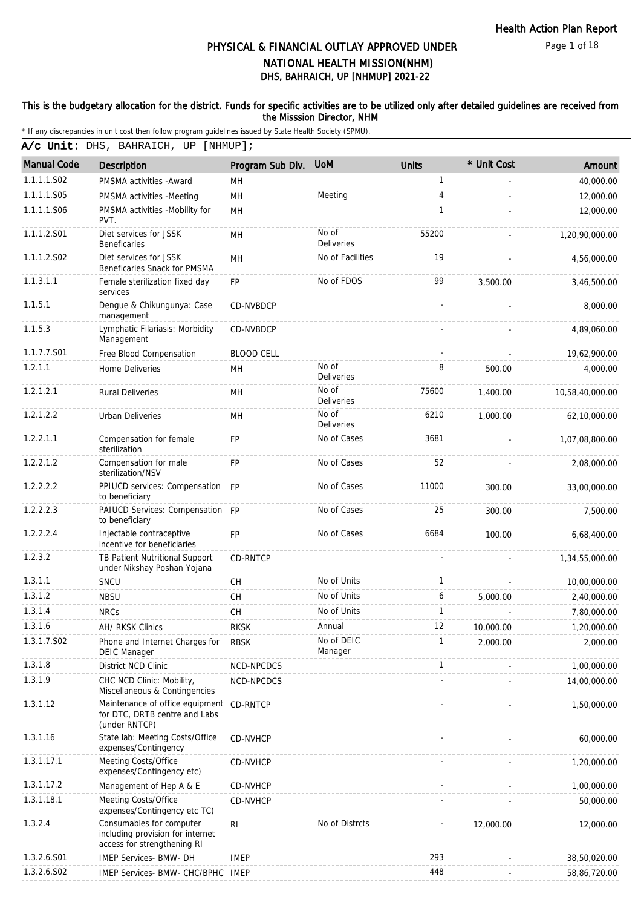Page 1 of 18

# DHS, BAHRAICH, UP [NHMUP] 2021-22 PHYSICAL & FINANCIAL OUTLAY APPROVED UNDER NATIONAL HEALTH MISSION(NHM)

### This is the budgetary allocation for the district. Funds for specific activities are to be utilized only after detailed guidelines are received from the Misssion Director, NHM

| A/c Unit: DHS, BAHRAICH, UP [NHMUP]; |  |
|--------------------------------------|--|
|--------------------------------------|--|

| <b>Manual Code</b> | <b>Description</b>                                                                          | Program Sub Div.  | <b>UoM</b>                 | <b>Units</b> | * Unit Cost | Amount          |
|--------------------|---------------------------------------------------------------------------------------------|-------------------|----------------------------|--------------|-------------|-----------------|
| 1.1.1.1.S02        | PMSMA activities - Award                                                                    | MH                |                            | 1            |             | 40,000.00       |
| 1.1.1.1.S05        | PMSMA activities -Meeting                                                                   | MH                | Meeting                    | 4            | L.          | 12,000.00       |
| 1.1.1.1.S06        | PMSMA activities -Mobility for<br>PVT.                                                      | MH                |                            | 1            |             | 12,000.00       |
| 1.1.1.2.S01        | Diet services for JSSK<br><b>Beneficaries</b>                                               | <b>MH</b>         | No of<br><b>Deliveries</b> | 55200        |             | 1,20,90,000.00  |
| 1.1.1.2.S02        | Diet services for JSSK<br>Beneficaries Snack for PMSMA                                      | MH                | No of Facilities           | 19           |             | 4,56,000.00     |
| 1.1.3.1.1          | Female sterilization fixed day<br>services                                                  | <b>FP</b>         | No of FDOS                 | 99           | 3.500.00    | 3,46,500.00     |
| 1.1.5.1            | Dengue & Chikungunya: Case<br>management                                                    | CD-NVBDCP         |                            |              |             | 8,000.00        |
| 1.1.5.3            | Lymphatic Filariasis: Morbidity<br>Management                                               | CD-NVBDCP         |                            |              |             | 4,89,060.00     |
| 1.1.7.7.S01        | Free Blood Compensation                                                                     | <b>BLOOD CELL</b> |                            |              |             | 19,62,900.00    |
| 1.2.1.1            | <b>Home Deliveries</b>                                                                      | <b>MH</b>         | No of<br>Deliveries        | 8            | 500.00      | 4.000.00        |
| 1.2.1.2.1          | <b>Rural Deliveries</b>                                                                     | MH                | No of<br><b>Deliveries</b> | 75600        | 1,400.00    | 10,58,40,000.00 |
| 1.2.1.2.2          | <b>Urban Deliveries</b>                                                                     | MH                | No of<br>Deliveries        | 6210         | 1,000.00    | 62,10,000.00    |
| 1.2.2.1.1          | Compensation for female<br>sterilization                                                    | <b>FP</b>         | No of Cases                | 3681         |             | 1,07,08,800.00  |
| 1.2.2.1.2          | Compensation for male<br>sterilization/NSV                                                  | <b>FP</b>         | No of Cases                | 52           |             | 2,08,000.00     |
| 1.2.2.2.2          | PPIUCD services: Compensation FP<br>to beneficiary                                          |                   | No of Cases                | 11000        | 300.00      | 33,00,000.00    |
| 1.2.2.2.3          | PAIUCD Services: Compensation FP<br>to beneficiary                                          |                   | No of Cases                | 25           | 300.00      | 7,500.00        |
| 1.2.2.2.4          | Injectable contraceptive<br>incentive for beneficiaries                                     | <b>FP</b>         | No of Cases                | 6684         | 100.00      | 6,68,400.00     |
| 1.2.3.2            | TB Patient Nutritional Support<br>under Nikshay Poshan Yojana                               | <b>CD-RNTCP</b>   |                            |              |             | 1,34,55,000.00  |
| 1.3.1.1            | SNCU                                                                                        | CH                | No of Units                | $\mathbf{1}$ |             | 10,00,000.00    |
| 1.3.1.2            | <b>NBSU</b>                                                                                 | CH                | No of Units                | 6            | 5,000.00    | 2,40,000.00     |
| 1.3.1.4            | <b>NRCs</b>                                                                                 | CH                | No of Units                | $\mathbf{1}$ |             | 7,80,000.00     |
| 1.3.1.6            | AH/ RKSK Clinics                                                                            | <b>RKSK</b>       | Annual                     | 12           | 10,000.00   | 1,20,000.00     |
| 1.3.1.7.S02        | Phone and Internet Charges for<br><b>DEIC Manager</b>                                       | <b>RBSK</b>       | No of DEIC<br>Manager      |              | 2,000.00    | 2,000.00        |
| 1.3.1.8            | District NCD Clinic                                                                         | NCD-NPCDCS        |                            | 1            |             | 1,00,000.00     |
| 1.3.1.9            | CHC NCD Clinic: Mobility,<br>Miscellaneous & Contingencies                                  | NCD-NPCDCS        |                            |              |             | 14,00,000.00    |
| 1.3.1.12           | Maintenance of office equipment CD-RNTCP<br>for DTC, DRTB centre and Labs<br>(under RNTCP)  |                   |                            |              |             | 1,50,000.00     |
| 1.3.1.16           | State lab: Meeting Costs/Office<br>expenses/Contingency                                     | CD-NVHCP          |                            |              |             | 60,000.00       |
| 1.3.1.17.1         | Meeting Costs/Office<br>expenses/Contingency etc)                                           | CD-NVHCP          |                            |              |             | 1,20,000.00     |
| 1.3.1.17.2         | Management of Hep A & E                                                                     | CD-NVHCP          |                            |              |             | 1,00,000.00     |
| 1.3.1.18.1         | Meeting Costs/Office<br>expenses/Contingency etc TC)                                        | CD-NVHCP          |                            |              |             | 50,000.00       |
| 1.3.2.4            | Consumables for computer<br>including provision for internet<br>access for strengthening RI | <b>RI</b>         | No of Distrcts             |              | 12,000.00   | 12,000.00       |
| 1.3.2.6.S01        | IMEP Services- BMW- DH                                                                      | <b>IMEP</b>       |                            | 293          |             | 38,50,020.00    |
| 1.3.2.6.S02        | IMEP Services- BMW- CHC/BPHC IMEP                                                           |                   |                            | 448          |             | 58,86,720.00    |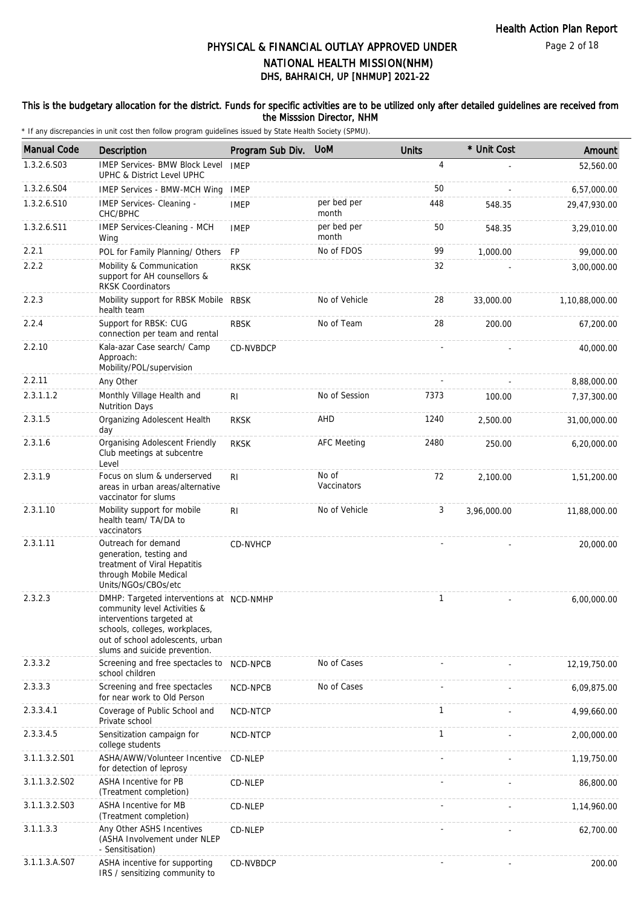### This is the budgetary allocation for the district. Funds for specific activities are to be utilized only after detailed guidelines are received from the Misssion Director, NHM

| <b>Manual Code</b> | Description                                                                                                                                                                                                  | Program Sub Div. | <b>UoM</b>           | <b>Units</b> | * Unit Cost | Amount         |
|--------------------|--------------------------------------------------------------------------------------------------------------------------------------------------------------------------------------------------------------|------------------|----------------------|--------------|-------------|----------------|
| 1.3.2.6.S03        | <b>IMEP Services- BMW Block Level</b><br>UPHC & District Level UPHC                                                                                                                                          | <b>IMEP</b>      |                      | 4            |             | 52,560.00      |
| 1.3.2.6.S04        | IMEP Services - BMW-MCH Wing                                                                                                                                                                                 | <b>IMEP</b>      |                      | 50           |             | 6,57,000.00    |
| 1.3.2.6.S10        | IMEP Services- Cleaning -<br>CHC/BPHC                                                                                                                                                                        | <b>IMEP</b>      | per bed per<br>month | 448          | 548.35      | 29,47,930.00   |
| 1.3.2.6.S11        | IMEP Services-Cleaning - MCH<br>Wing                                                                                                                                                                         | <b>IMEP</b>      | per bed per<br>month | 50           | 548.35      | 3,29,010.00    |
| 2.2.1              | POL for Family Planning/ Others                                                                                                                                                                              | <b>FP</b>        | No of FDOS           | 99           | 1,000.00    | 99,000.00      |
| 2.2.2              | Mobility & Communication<br>support for AH counsellors &<br><b>RKSK Coordinators</b>                                                                                                                         | <b>RKSK</b>      |                      | 32           |             | 3,00,000.00    |
| 2.2.3              | Mobility support for RBSK Mobile RBSK<br>health team                                                                                                                                                         |                  | No of Vehicle        | 28           | 33,000.00   | 1,10,88,000.00 |
| 2.2.4              | Support for RBSK: CUG<br>connection per team and rental                                                                                                                                                      | <b>RBSK</b>      | No of Team           | 28           | 200.00      | 67,200.00      |
| 2.2.10             | Kala-azar Case search/ Camp<br>Approach:<br>Mobility/POL/supervision                                                                                                                                         | CD-NVBDCP        |                      |              |             | 40,000.00      |
| 2.2.11             | Any Other                                                                                                                                                                                                    |                  |                      |              |             | 8,88,000.00    |
| 2.3.1.1.2          | Monthly Village Health and<br><b>Nutrition Days</b>                                                                                                                                                          | RI               | No of Session        | 7373         | 100.00      | 7,37,300.00    |
| 2.3.1.5            | Organizing Adolescent Health<br>day                                                                                                                                                                          | <b>RKSK</b>      | AHD                  | 1240         | 2,500.00    | 31,00,000.00   |
| 2.3.1.6            | Organising Adolescent Friendly<br>Club meetings at subcentre<br>Level                                                                                                                                        | <b>RKSK</b>      | <b>AFC Meeting</b>   | 2480         | 250.00      | 6,20,000.00    |
| 2.3.1.9            | Focus on slum & underserved<br>areas in urban areas/alternative<br>vaccinator for slums                                                                                                                      | RI               | No of<br>Vaccinators | 72           | 2,100.00    | 1,51,200.00    |
| 2.3.1.10           | Mobility support for mobile<br>health team/ TA/DA to<br>vaccinators                                                                                                                                          | R <sub>l</sub>   | No of Vehicle        | 3            | 3,96,000.00 | 11,88,000.00   |
| 2.3.1.11           | Outreach for demand<br>generation, testing and<br>treatment of Viral Hepatitis<br>through Mobile Medical<br>Units/NGOs/CBOs/etc                                                                              | CD-NVHCP         |                      |              |             | 20,000.00      |
| 2.3.2.3            | DMHP: Targeted interventions at NCD-NMHP<br>community level Activities &<br>interventions targeted at<br>schools, colleges, workplaces,<br>out of school adolescents, urban<br>slums and suicide prevention. |                  |                      | 1            |             | 6,00,000.00    |
| 2.3.3.2            | Screening and free spectacles to<br>school children                                                                                                                                                          | NCD-NPCB         | No of Cases          |              |             | 12,19,750.00   |
| 2.3.3.3            | Screening and free spectacles<br>for near work to Old Person                                                                                                                                                 | NCD-NPCB         | No of Cases          |              |             | 6,09,875.00    |
| 2.3.3.4.1          | Coverage of Public School and<br>Private school                                                                                                                                                              | NCD-NTCP         |                      | $\mathbf{1}$ |             | 4,99,660.00    |
| 2.3.3.4.5          | Sensitization campaign for<br>college students                                                                                                                                                               | <b>NCD-NTCP</b>  |                      | 1            |             | 2,00,000.00    |
| 3.1.1.3.2.S01      | ASHA/AWW/Volunteer Incentive<br>for detection of leprosy                                                                                                                                                     | CD-NLEP          |                      |              |             | 1,19,750.00    |
| 3.1.1.3.2.S02      | <b>ASHA Incentive for PB</b><br>(Treatment completion)                                                                                                                                                       | CD-NLEP          |                      |              |             | 86,800.00      |
| 3.1.1.3.2.S03      | ASHA Incentive for MB<br>(Treatment completion)                                                                                                                                                              | CD-NLEP          |                      |              |             | 1,14,960.00    |
| 3.1.1.3.3          | Any Other ASHS Incentives<br>(ASHA Involvement under NLEP<br>- Sensitisation)                                                                                                                                | CD-NLEP          |                      |              |             | 62,700.00      |
| 3.1.1.3.A.S07      | ASHA incentive for supporting<br>IRS / sensitizing community to                                                                                                                                              | CD-NVBDCP        |                      |              |             | 200.00         |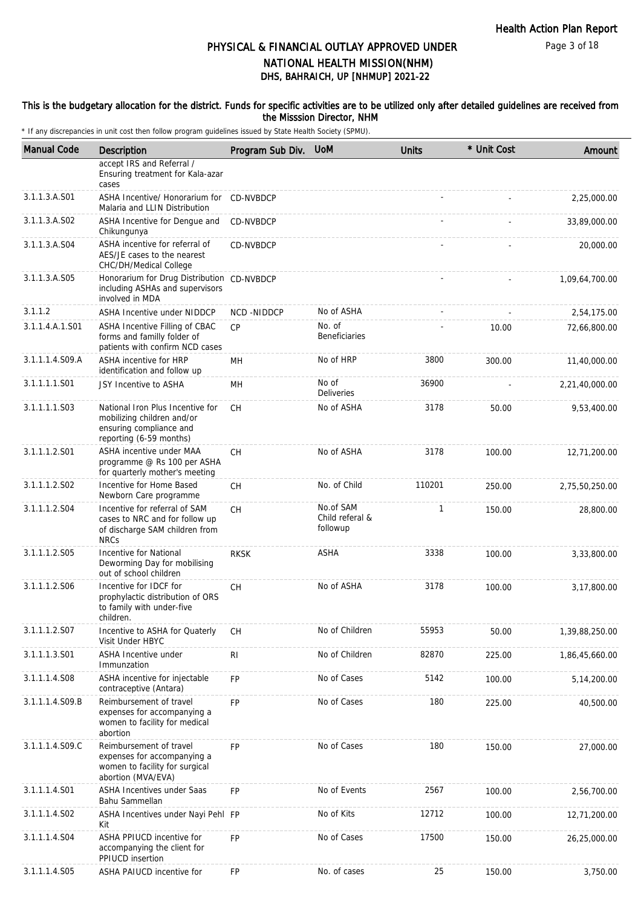Page 3 of 18

# DHS, BAHRAICH, UP [NHMUP] 2021-22 PHYSICAL & FINANCIAL OUTLAY APPROVED UNDER NATIONAL HEALTH MISSION(NHM)

### This is the budgetary allocation for the district. Funds for specific activities are to be utilized only after detailed guidelines are received from the Misssion Director, NHM

| <b>Manual Code</b> | Description                                                                                                          | Program Sub Div. | <b>UoM</b>                               | <b>Units</b> | * Unit Cost | Amount         |
|--------------------|----------------------------------------------------------------------------------------------------------------------|------------------|------------------------------------------|--------------|-------------|----------------|
|                    | accept IRS and Referral /<br>Ensuring treatment for Kala-azar<br>cases                                               |                  |                                          |              |             |                |
| 3.1.1.3.A.S01      | ASHA Incentive/ Honorarium for CD-NVBDCP<br>Malaria and LLIN Distribution                                            |                  |                                          |              |             | 2,25,000.00    |
| 3.1.1.3.A.S02      | ASHA Incentive for Dengue and<br>Chikungunya                                                                         | CD-NVBDCP        |                                          |              |             | 33,89,000.00   |
| 3.1.1.3.A.S04      | ASHA incentive for referral of<br>AES/JE cases to the nearest<br>CHC/DH/Medical College                              | <b>CD-NVBDCP</b> |                                          |              |             | 20,000.00      |
| 3.1.1.3.A.S05      | Honorarium for Drug Distribution CD-NVBDCP<br>including ASHAs and supervisors<br>involved in MDA                     |                  |                                          |              |             | 1,09,64,700.00 |
| 3.1.1.2            | <b>ASHA Incentive under NIDDCP</b>                                                                                   | NCD-NIDDCP       | No of ASHA                               |              |             | 2,54,175.00    |
| 3.1.1.4.A.1.S01    | ASHA Incentive Filling of CBAC<br>forms and familly folder of<br>patients with confirm NCD cases                     | CP               | No. of<br><b>Beneficiaries</b>           |              | 10.00       | 72,66,800.00   |
| 3.1.1.1.4.S09.A    | ASHA incentive for HRP<br>identification and follow up                                                               | MH               | No of HRP                                | 3800         | 300.00      | 11,40,000.00   |
| 3.1.1.1.1.S01      | JSY Incentive to ASHA                                                                                                | <b>MH</b>        | No of<br><b>Deliveries</b>               | 36900        |             | 2,21,40,000.00 |
| 3.1.1.1.1.S03      | National Iron Plus Incentive for<br>mobilizing children and/or<br>ensuring compliance and<br>reporting (6-59 months) | СH               | No of ASHA                               | 3178         | 50.00       | 9,53,400.00    |
| 3.1.1.1.2.S01      | ASHA incentive under MAA<br>programme @ Rs 100 per ASHA<br>for quarterly mother's meeting                            | <b>CH</b>        | No of ASHA                               | 3178         | 100.00      | 12,71,200.00   |
| 3.1.1.1.2.S02      | Incentive for Home Based<br>Newborn Care programme                                                                   | CH               | No. of Child                             | 110201       | 250.00      | 2,75,50,250.00 |
| 3.1.1.1.2.S04      | Incentive for referral of SAM<br>cases to NRC and for follow up<br>of discharge SAM children from<br><b>NRCs</b>     | CH               | No.of SAM<br>Child referal &<br>followup | 1            | 150.00      | 28,800.00      |
| 3.1.1.1.2.S05      | Incentive for National<br>Deworming Day for mobilising<br>out of school children                                     | <b>RKSK</b>      | <b>ASHA</b>                              | 3338         | 100.00      | 3,33,800.00    |
| 3.1.1.1.2.S06      | Incentive for IDCF for<br>prophylactic distribution of ORS<br>to family with under-five<br>children.                 | CH               | No of ASHA                               | 3178         | 100.00      | 3,17,800.00    |
| 3.1.1.1.2.S07      | Incentive to ASHA for Quaterly<br>Visit Under HBYC                                                                   | СH               | No of Children                           | 55953        | 50.00       | 1,39,88,250.00 |
| 3.1.1.1.3.S01      | ASHA Incentive under<br>Immunzation                                                                                  | R <sub>1</sub>   | No of Children                           | 82870        | 225.00      | 1,86,45,660.00 |
| 3.1.1.1.4.S08      | ASHA incentive for injectable<br>contraceptive (Antara)                                                              | <b>FP</b>        | No of Cases                              | 5142         | 100.00      | 5,14,200.00    |
| 3.1.1.1.4.S09.B    | Reimbursement of travel<br>expenses for accompanying a<br>women to facility for medical<br>abortion                  | FP               | No of Cases                              | 180          | 225.00      | 40,500.00      |
| 3.1.1.1.4.S09.C    | Reimbursement of travel<br>expenses for accompanying a<br>women to facility for surgical<br>abortion (MVA/EVA)       | <b>FP</b>        | No of Cases                              | 180          | 150.00      | 27,000.00      |
| 3.1.1.1.4.S01      | ASHA Incentives under Saas<br>Bahu Sammellan                                                                         | <b>FP</b>        | No of Events                             | 2567         | 100.00      | 2,56,700.00    |
| 3.1.1.1.4.S02      | ASHA Incentives under Nayi Pehl FP<br>Kit                                                                            |                  | No of Kits                               | 12712        | 100.00      | 12,71,200.00   |
| 3.1.1.1.4.S04      | ASHA PPIUCD incentive for<br>accompanying the client for<br>PPIUCD insertion                                         | <b>FP</b>        | No of Cases                              | 17500        | 150.00      | 26,25,000.00   |
| 3.1.1.1.4.S05      | ASHA PAIUCD incentive for                                                                                            | FP               | No. of cases                             | 25           | 150.00      | 3,750.00       |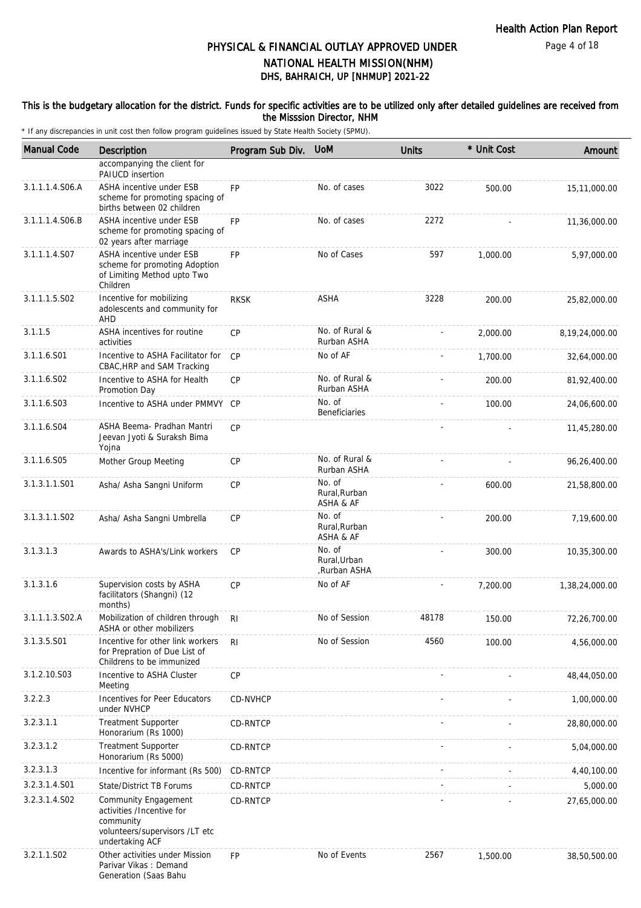### This is the budgetary allocation for the district. Funds for specific activities are to be utilized only after detailed guidelines are received from the Misssion Director, NHM

| <b>Manual Code</b> | Description                                                                                                         | Program Sub Div. | <b>UoM</b>                            | <b>Units</b> | * Unit Cost | Amount         |
|--------------------|---------------------------------------------------------------------------------------------------------------------|------------------|---------------------------------------|--------------|-------------|----------------|
|                    | accompanying the client for<br>PAIUCD insertion                                                                     |                  |                                       |              |             |                |
| 3.1.1.1.4.S06.A    | ASHA incentive under ESB<br>scheme for promoting spacing of<br>births between 02 children                           | <b>FP</b>        | No. of cases                          | 3022         | 500.00      | 15,11,000.00   |
| 3.1.1.1.4.S06.B    | ASHA incentive under ESB<br>scheme for promoting spacing of<br>02 years after marriage                              | FP               | No. of cases                          | 2272         |             | 11,36,000.00   |
| 3.1.1.1.4.S07      | ASHA incentive under ESB<br>scheme for promoting Adoption<br>of Limiting Method upto Two<br>Children                | FP               | No of Cases                           | 597          | 1,000.00    | 5,97,000.00    |
| 3.1.1.1.5.S02      | Incentive for mobilizing<br>adolescents and community for<br>AHD                                                    | <b>RKSK</b>      | ASHA                                  | 3228         | 200.00      | 25,82,000.00   |
| 3.1.1.5            | ASHA incentives for routine<br>activities                                                                           | <b>CP</b>        | No. of Rural &<br>Rurban ASHA         |              | 2,000.00    | 8,19,24,000.00 |
| 3.1.1.6.S01        | Incentive to ASHA Facilitator for<br>CBAC, HRP and SAM Tracking                                                     | CP               | No of AF                              |              | 1,700.00    | 32,64,000.00   |
| 3.1.1.6.S02        | Incentive to ASHA for Health<br>Promotion Day                                                                       | <b>CP</b>        | No. of Rural &<br>Rurban ASHA         |              | 200.00      | 81,92,400.00   |
| 3.1.1.6.S03        | Incentive to ASHA under PMMVY                                                                                       | CP               | No. of<br>Beneficiaries               |              | 100.00      | 24,06,600.00   |
| 3.1.1.6.S04        | ASHA Beema- Pradhan Mantri<br>Jeevan Jyoti & Suraksh Bima<br>Yojna                                                  | <b>CP</b>        |                                       |              |             | 11,45,280.00   |
| 3.1.1.6.S05        | Mother Group Meeting                                                                                                | СP               | No. of Rural &<br>Rurban ASHA         |              |             | 96,26,400.00   |
| 3.1.3.1.1.S01      | Asha/ Asha Sangni Uniform                                                                                           | СP               | No. of<br>Rural, Rurban<br>ASHA & AF  |              | 600.00      | 21,58,800.00   |
| 3.1.3.1.1.S02      | Asha/ Asha Sangni Umbrella                                                                                          | <b>CP</b>        | No. of<br>Rural, Rurban<br>ASHA & AF  |              | 200.00      | 7,19,600.00    |
| 3.1.3.1.3          | Awards to ASHA's/Link workers                                                                                       | <b>CP</b>        | No. of<br>Rural.Urban<br>,Rurban ASHA |              | 300.00      | 10,35,300.00   |
| 3.1.3.1.6          | Supervision costs by ASHA<br>facilitators (Shangni) (12<br>months)                                                  | CP               | No of AF                              |              | 7,200.00    | 1,38,24,000.00 |
| 3.1.1.1.3.S02.A    | Mobilization of children through RI<br>ASHA or other mobilizers                                                     |                  | No of Session                         | 48178        | 150.00      | 72,26,700.00   |
| 3.1.3.5.S01        | Incentive for other link workers<br>for Prepration of Due List of<br>Childrens to be immunized                      | RI.              | No of Session                         | 4560         | 100.00      | 4,56,000.00    |
| 3.1.2.10.S03       | Incentive to ASHA Cluster<br>Meeting                                                                                | CP               |                                       |              |             | 48,44,050.00   |
| 3.2.2.3            | Incentives for Peer Educators<br>under NVHCP                                                                        | CD-NVHCP         |                                       |              |             | 1,00,000.00    |
| 3.2.3.1.1          | <b>Treatment Supporter</b><br>Honorarium (Rs 1000)                                                                  | <b>CD-RNTCP</b>  |                                       |              |             | 28,80,000.00   |
| 3.2.3.1.2          | <b>Treatment Supporter</b><br>Honorarium (Rs 5000)                                                                  | CD-RNTCP         |                                       |              |             | 5,04,000.00    |
| 3.2.3.1.3          | Incentive for informant (Rs 500)                                                                                    | CD-RNTCP         |                                       |              |             | 4,40,100.00    |
| 3.2.3.1.4.S01      | State/District TB Forums                                                                                            | CD-RNTCP         |                                       |              |             | 5,000.00       |
| 3.2.3.1.4.SO2      | Community Engagement<br>activities /Incentive for<br>community<br>volunteers/supervisors /LT etc<br>undertaking ACF | CD-RNTCP         |                                       |              |             | 27,65,000.00   |
| 3.2.1.1.S02        | Other activities under Mission<br>Parivar Vikas: Demand<br>Generation (Saas Bahu                                    | FP               | No of Events                          | 2567         | 1,500.00    | 38,50,500.00   |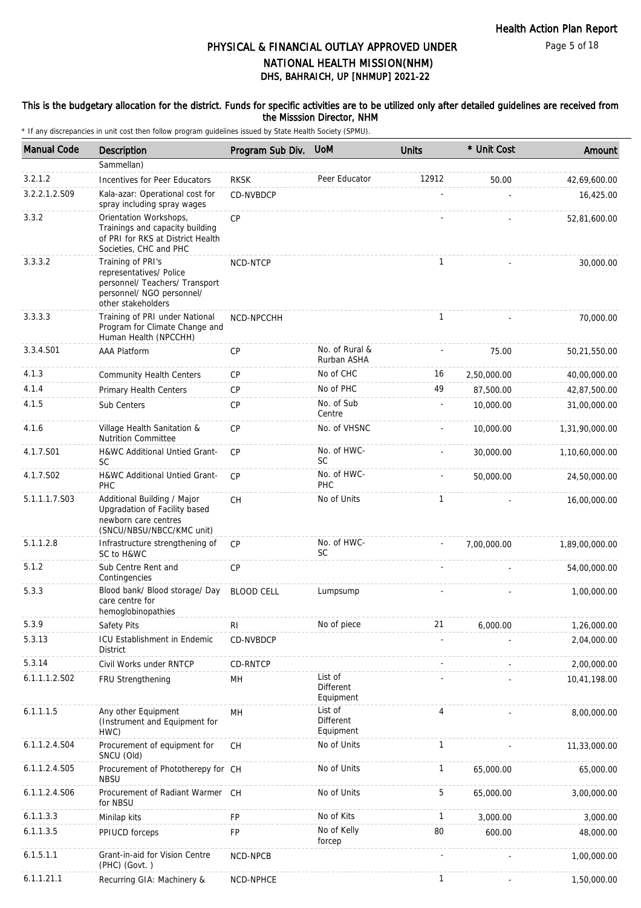### This is the budgetary allocation for the district. Funds for specific activities are to be utilized only after detailed guidelines are received from the Misssion Director, NHM

| <b>Manual Code</b> | <b>Description</b>                                                                                                                | Program Sub Div.  | <b>UoM</b>                               | <b>Units</b> | * Unit Cost    | Amount         |
|--------------------|-----------------------------------------------------------------------------------------------------------------------------------|-------------------|------------------------------------------|--------------|----------------|----------------|
|                    | Sammellan)                                                                                                                        |                   |                                          |              |                |                |
| 3.2.1.2            | Incentives for Peer Educators                                                                                                     | <b>RKSK</b>       | Peer Educator                            | 12912        | 50.00          | 42,69,600.00   |
| 3.2.2.1.2.S09      | Kala-azar: Operational cost for<br>spray including spray wages                                                                    | CD-NVBDCP         |                                          |              |                | 16,425.00      |
| 3.3.2              | Orientation Workshops,<br>Trainings and capacity building<br>of PRI for RKS at District Health<br>Societies, CHC and PHC          | CP                |                                          |              |                | 52,81,600.00   |
| 3.3.3.2            | Training of PRI's<br>representatives/ Police<br>personnel/ Teachers/ Transport<br>personnel/ NGO personnel/<br>other stakeholders | NCD-NTCP          |                                          | $\mathbf{1}$ |                | 30,000.00      |
| 3.3.3.3            | Training of PRI under National<br>Program for Climate Change and<br>Human Health (NPCCHH)                                         | NCD-NPCCHH        |                                          | $\mathbf{1}$ |                | 70,000.00      |
| 3.3.4.S01          | <b>AAA Platform</b>                                                                                                               | <b>CP</b>         | No. of Rural &<br>Rurban ASHA            |              | 75.00          | 50,21,550.00   |
| 4.1.3              | <b>Community Health Centers</b>                                                                                                   | СP                | No of CHC                                | 16           | 2,50,000.00    | 40,00,000.00   |
| 4.1.4              | Primary Health Centers                                                                                                            | <b>CP</b>         | No of PHC                                | 49           | 87,500.00      | 42,87,500.00   |
| 4.1.5              | Sub Centers                                                                                                                       | <b>CP</b>         | No. of Sub<br>Centre                     |              | 10,000.00      | 31,00,000.00   |
| 4.1.6              | Village Health Sanitation &<br><b>Nutrition Committee</b>                                                                         | <b>CP</b>         | No. of VHSNC                             |              | 10,000.00      | 1,31,90,000.00 |
| 4.1.7.S01          | H&WC Additional Untied Grant-<br><b>SC</b>                                                                                        | CP                | No. of HWC-<br><b>SC</b>                 |              | 30,000.00      | 1,10,60,000.00 |
| 4.1.7.S02          | H&WC Additional Untied Grant-<br>PHC                                                                                              | CP                | No. of HWC-<br>PHC                       |              | 50,000.00      | 24,50,000.00   |
| 5.1.1.1.7.S03      | Additional Building / Major<br>Upgradation of Facility based<br>newborn care centres<br>(SNCU/NBSU/NBCC/KMC unit)                 | CH                | No of Units                              | $\mathbf{1}$ |                | 16,00,000.00   |
| 5.1.1.2.8          | Infrastructure strengthening of<br>SC to H&WC                                                                                     | <b>CP</b>         | No. of HWC-<br>SC                        |              | 7,00,000.00    | 1,89,00,000.00 |
| 5.1.2              | Sub Centre Rent and<br>Contingencies                                                                                              | <b>CP</b>         |                                          |              |                | 54,00,000.00   |
| 5.3.3              | Blood bank/ Blood storage/ Day<br>care centre for<br>hemoglobinopathies                                                           | <b>BLOOD CELL</b> | Lumpsump                                 |              |                | 1,00,000.00    |
| 5.3.9              | Safety Pits                                                                                                                       | $\mathsf{RI}$     | No of piece                              | 21           | 6,000.00       | 1,26,000.00    |
| 5.3.13             | ICU Establishment in Endemic<br><b>District</b>                                                                                   | CD-NVBDCP         |                                          |              |                | 2,04,000.00    |
| 5.3.14             | Civil Works under RNTCP                                                                                                           | CD-RNTCP          |                                          |              |                | 2,00,000.00    |
| 6.1.1.1.2.S02      | FRU Strengthening                                                                                                                 | MН                | List of<br><b>Different</b><br>Equipment |              |                | 10,41,198.00   |
| 6.1.1.1.5          | Any other Equipment<br>(Instrument and Equipment for<br>HWC)                                                                      | MH                | List of<br><b>Different</b><br>Equipment | 4            |                | 8,00,000.00    |
| 6.1.1.2.4.S04      | Procurement of equipment for<br>SNCU (Old)                                                                                        | CH                | No of Units                              | $\mathbf{1}$ |                | 11,33,000.00   |
| 6.1.1.2.4.S05      | Procurement of Phototherepy for CH<br><b>NBSU</b>                                                                                 |                   | No of Units                              | 1            | 65,000.00      | 65,000.00      |
| 6.1.1.2.4.S06      | Procurement of Radiant Warmer CH<br>for NBSU                                                                                      |                   | No of Units                              | 5            | 65,000.00      | 3,00,000.00    |
| 6.1.1.3.3          | Minilap kits                                                                                                                      | FP                | No of Kits                               | 1            | 3,000.00       | 3,000.00       |
| 6.1.1.3.5          | PPIUCD forceps                                                                                                                    | FP                | No of Kelly<br>forcep                    | 80           | 600.00         | 48,000.00      |
| 6.1.5.1.1          | Grant-in-aid for Vision Centre<br>(PHC) (Govt.)                                                                                   | NCD-NPCB          |                                          |              |                | 1,00,000.00    |
| 6.1.1.21.1         | Recurring GIA: Machinery &                                                                                                        | NCD-NPHCE         |                                          | 1            | $\blacksquare$ | 1,50,000.00    |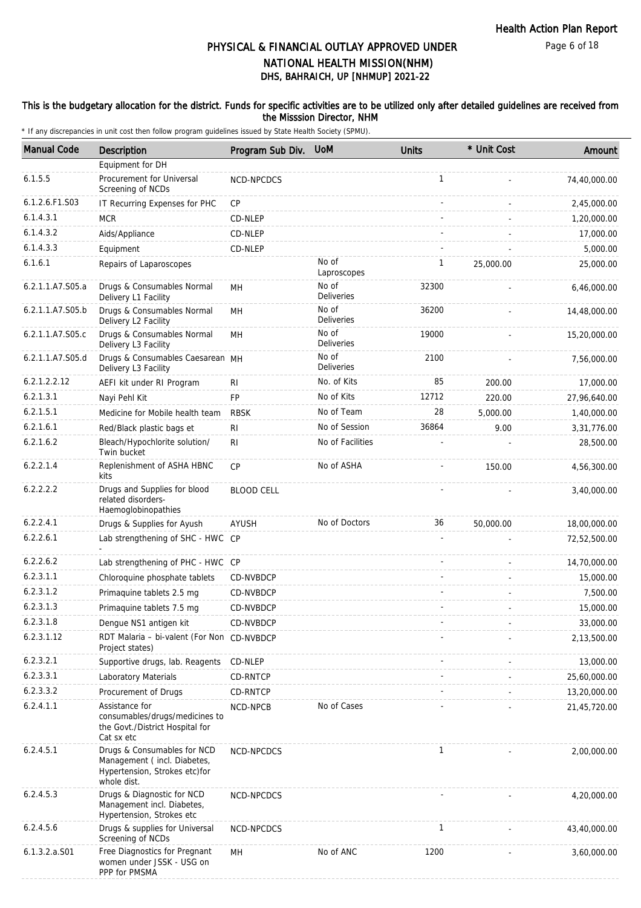### This is the budgetary allocation for the district. Funds for specific activities are to be utilized only after detailed guidelines are received from the Misssion Director, NHM

| <b>Manual Code</b> | <b>Description</b>                                                                                         | Program Sub Div.  | <b>UoM</b>                 | <b>Units</b> | * Unit Cost | Amount       |
|--------------------|------------------------------------------------------------------------------------------------------------|-------------------|----------------------------|--------------|-------------|--------------|
|                    | Equipment for DH                                                                                           |                   |                            |              |             |              |
| 6.1.5.5            | Procurement for Universal<br>Screening of NCDs                                                             | NCD-NPCDCS        |                            | $\mathbf{1}$ |             | 74,40,000.00 |
| 6.1.2.6.F1.S03     | IT Recurring Expenses for PHC                                                                              | CP                |                            |              |             | 2,45,000.00  |
| 6.1.4.3.1          | <b>MCR</b>                                                                                                 | CD-NLEP           |                            |              |             | 1,20,000.00  |
| 6.1.4.3.2          | Aids/Appliance                                                                                             | CD-NLEP           |                            |              |             | 17,000.00    |
| 6.1.4.3.3          | Equipment                                                                                                  | CD-NLEP           |                            |              |             | 5,000.00     |
| 6.1.6.1            | Repairs of Laparoscopes                                                                                    |                   | No of<br>Laproscopes       | 1            | 25,000.00   | 25,000.00    |
| 6.2.1.1.A7.S05.a   | Drugs & Consumables Normal<br>Delivery L1 Facility                                                         | MН                | No of<br><b>Deliveries</b> | 32300        |             | 6,46,000.00  |
| 6.2.1.1.A7.S05.b   | Drugs & Consumables Normal<br>Delivery L2 Facility                                                         | MН                | No of<br><b>Deliveries</b> | 36200        |             | 14,48,000.00 |
| 6.2.1.1.A7.S05.c   | Drugs & Consumables Normal<br>Delivery L3 Facility                                                         | MH                | No of<br><b>Deliveries</b> | 19000        |             | 15,20,000.00 |
| 6.2.1.1.A7.S05.d   | Drugs & Consumables Caesarean MH<br>Delivery L3 Facility                                                   |                   | No of<br><b>Deliveries</b> | 2100         |             | 7,56,000.00  |
| 6.2.1.2.2.12       | AEFI kit under RI Program                                                                                  | <b>RI</b>         | No. of Kits                | 85           | 200.00      | 17,000.00    |
| 6.2.1.3.1          | Nayi Pehl Kit                                                                                              | <b>FP</b>         | No of Kits                 | 12712        | 220.00      | 27,96,640.00 |
| 6.2.1.5.1          | Medicine for Mobile health team                                                                            | <b>RBSK</b>       | No of Team                 | 28           | 5,000.00    | 1,40,000.00  |
| 6.2.1.6.1          | Red/Black plastic bags et                                                                                  | R <sub>l</sub>    | No of Session              | 36864        | 9.00        | 3,31,776.00  |
| 6.2.1.6.2          | Bleach/Hypochlorite solution/<br>Twin bucket                                                               | R <sub>l</sub>    | No of Facilities           |              |             | 28,500.00    |
| 6.2.2.1.4          | Replenishment of ASHA HBNC<br>kits                                                                         | CP                | No of ASHA                 |              | 150.00      | 4,56,300.00  |
| 6.2.2.2.2          | Drugs and Supplies for blood<br>related disorders-<br>Haemoglobinopathies                                  | <b>BLOOD CELL</b> |                            |              |             | 3,40,000.00  |
| 6.2.2.4.1          | Drugs & Supplies for Ayush                                                                                 | AYUSH             | No of Doctors              | 36           | 50,000.00   | 18,00,000.00 |
| 6.2.2.6.1          | Lab strengthening of SHC - HWC CP                                                                          |                   |                            |              |             | 72,52,500.00 |
| 6.2.2.6.2          | Lab strengthening of PHC - HWC CP                                                                          |                   |                            |              |             | 14,70,000.00 |
| 6.2.3.1.1          | Chloroquine phosphate tablets                                                                              | CD-NVBDCP         |                            |              |             | 15,000.00    |
| 6.2.3.1.2          | Primaquine tablets 2.5 mg                                                                                  | CD-NVBDCP         |                            |              |             | 7,500.00     |
| 6.2.3.1.3          | Primaguine tablets 7.5 mg                                                                                  | CD-NVBDCP         |                            |              |             | 15,000.00    |
| 6.2.3.1.8          | Dengue NS1 antigen kit                                                                                     | CD-NVBDCP         |                            |              |             | 33,000.00    |
| 6.2.3.1.12         | RDT Malaria - bi-valent (For Non CD-NVBDCP<br>Project states)                                              |                   |                            |              |             | 2,13,500.00  |
| 6.2.3.2.1          | Supportive drugs, lab. Reagents                                                                            | CD-NLEP           |                            |              |             | 13,000.00    |
| 6.2.3.3.1          | Laboratory Materials                                                                                       | CD-RNTCP          |                            |              |             | 25,60,000.00 |
| 6.2.3.3.2          | Procurement of Drugs                                                                                       | CD-RNTCP          |                            |              |             | 13,20,000.00 |
| 6.2.4.1.1          | Assistance for<br>consumables/drugs/medicines to<br>the Govt./District Hospital for<br>Cat sx etc          | NCD-NPCB          | No of Cases                |              |             | 21,45,720.00 |
| 6.2.4.5.1          | Drugs & Consumables for NCD<br>Management (incl. Diabetes,<br>Hypertension, Strokes etc)for<br>whole dist. | NCD-NPCDCS        |                            | $\mathbf{1}$ |             | 2,00,000.00  |
| 6.2.4.5.3          | Drugs & Diagnostic for NCD<br>Management incl. Diabetes,<br>Hypertension, Strokes etc                      | NCD-NPCDCS        |                            |              |             | 4,20,000.00  |
| 6.2.4.5.6          | Drugs & supplies for Universal<br>Screening of NCDs                                                        | NCD-NPCDCS        |                            | $\mathbf{1}$ |             | 43,40,000.00 |
| $6.1.3.2.a.$ S01   | Free Diagnostics for Pregnant<br>women under JSSK - USG on<br>PPP for PMSMA                                | MН                | No of ANC                  | 1200         |             | 3,60,000.00  |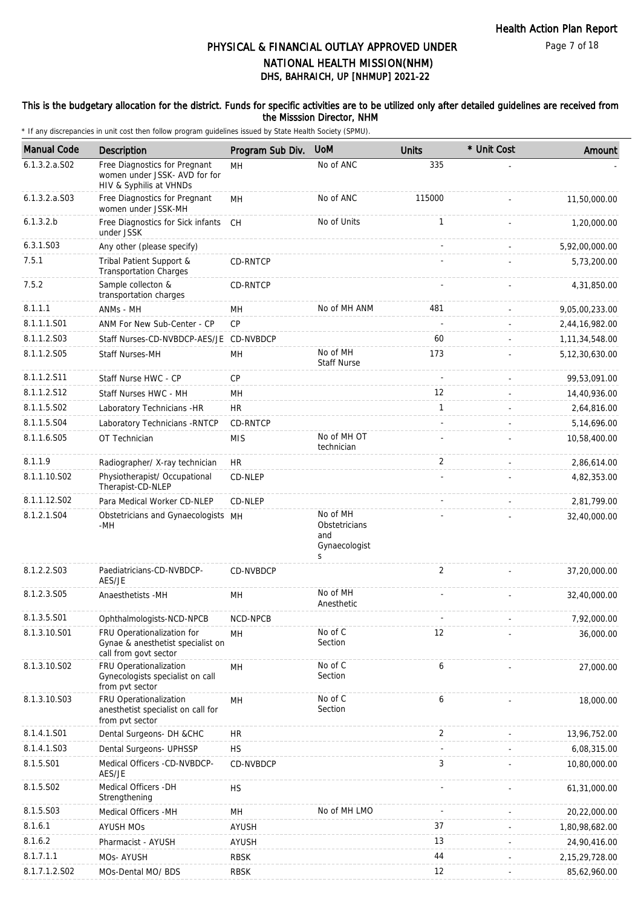### This is the budgetary allocation for the district. Funds for specific activities are to be utilized only after detailed guidelines are received from the Misssion Director, NHM

| <b>Manual Code</b> | Description                                                                               | Program Sub Div. | <b>UoM</b>                                             | <b>Units</b> | * Unit Cost | Amount            |
|--------------------|-------------------------------------------------------------------------------------------|------------------|--------------------------------------------------------|--------------|-------------|-------------------|
| $6.1.3.2.a.$ SO2   | Free Diagnostics for Pregnant<br>women under JSSK- AVD for for<br>HIV & Syphilis at VHNDs | MH               | No of ANC                                              | 335          |             |                   |
| 6.1.3.2.a. S03     | Free Diagnostics for Pregnant<br>women under JSSK-MH                                      | MH               | No of ANC                                              | 115000       |             | 11,50,000.00      |
| 6.1.3.2.b          | Free Diagnostics for Sick infants<br>under JSSK                                           | CH               | No of Units                                            | 1            |             | 1,20,000.00       |
| 6.3.1.S03          | Any other (please specify)                                                                |                  |                                                        |              |             | 5,92,00,000.00    |
| 7.5.1              | Tribal Patient Support &<br><b>Transportation Charges</b>                                 | CD-RNTCP         |                                                        |              |             | 5,73,200.00       |
| 7.5.2              | Sample collecton &<br>transportation charges                                              | CD-RNTCP         |                                                        |              |             | 4,31,850.00       |
| 8.1.1.1            | ANMs - MH                                                                                 | <b>MH</b>        | No of MH ANM                                           | 481          |             | 9,05,00,233.00    |
| 8.1.1.1.S01        | ANM For New Sub-Center - CP                                                               | CP               |                                                        |              |             | 2,44,16,982.00    |
| 8.1.1.2.S03        | Staff Nurses-CD-NVBDCP-AES/JE CD-NVBDCP                                                   |                  |                                                        | 60           |             | 1, 11, 34, 548.00 |
| 8.1.1.2.S05        | Staff Nurses-MH                                                                           | MH               | No of MH<br>Staff Nurse                                | 173          |             | 5, 12, 30, 630.00 |
| 8.1.1.2.S11        | Staff Nurse HWC - CP                                                                      | CP               |                                                        |              |             | 99,53,091.00      |
| 8.1.1.2.S12        | Staff Nurses HWC - MH                                                                     | <b>MH</b>        |                                                        | 12           |             | 14,40,936.00      |
| 8.1.1.5.S02        | Laboratory Technicians -HR                                                                | <b>HR</b>        |                                                        | $\mathbf{1}$ |             | 2,64,816.00       |
| 8.1.1.5.S04        | Laboratory Technicians - RNTCP                                                            | CD-RNTCP         |                                                        |              |             | 5,14,696.00       |
| 8.1.1.6.S05        | OT Technician                                                                             | <b>MIS</b>       | No of MH OT<br>technician                              |              |             | 10,58,400.00      |
| 8.1.1.9            | Radiographer/ X-ray technician                                                            | HR.              |                                                        | 2            |             | 2,86,614.00       |
| 8.1.1.10.S02       | Physiotherapist/ Occupational<br>Therapist-CD-NLEP                                        | CD-NLEP          |                                                        |              |             | 4,82,353.00       |
| 8.1.1.12.S02       | Para Medical Worker CD-NLEP                                                               | CD-NLEP          |                                                        |              |             | 2,81,799.00       |
| 8.1.2.1.S04        | Obstetricians and Gynaecologists MH<br>-MH                                                |                  | No of MH<br>Obstetricians<br>and<br>Gynaecologist<br>S |              |             | 32,40,000.00      |
| 8.1.2.2.S03        | Paediatricians-CD-NVBDCP-<br>AES/JE                                                       | <b>CD-NVBDCP</b> |                                                        | 2            |             | 37,20,000.00      |
| 8.1.2.3.S05        | Anaesthetists -MH                                                                         | MН               | No of MH<br>Anesthetic                                 |              |             | 32,40,000.00      |
| 8.1.3.5.S01        | Ophthalmologists-NCD-NPCB                                                                 | NCD-NPCB         |                                                        |              |             | 7,92,000.00       |
| 8.1.3.10.S01       | FRU Operationalization for<br>Gynae & anesthetist specialist on<br>call from govt sector  | MН               | No of C<br>Section                                     | 12           |             | 36,000.00         |
| 8.1.3.10.S02       | FRU Operationalization<br>Gynecologists specialist on call<br>from pvt sector             | MH               | No of C<br>Section                                     | 6            |             | 27,000.00         |
| 8.1.3.10.S03       | FRU Operationalization<br>anesthetist specialist on call for<br>from pvt sector           | MН               | No of C<br>Section                                     | 6            |             | 18,000.00         |
| 8.1.4.1.S01        | Dental Surgeons- DH &CHC                                                                  | HR               |                                                        | 2            |             | 13,96,752.00      |
| 8.1.4.1.S03        | Dental Surgeons- UPHSSP                                                                   | <b>HS</b>        |                                                        |              |             | 6,08,315.00       |
| 8.1.5.S01          | Medical Officers -CD-NVBDCP-<br>AES/JE                                                    | CD-NVBDCP        |                                                        | 3            |             | 10,80,000.00      |
| 8.1.5.S02          | Medical Officers -DH<br>Strengthening                                                     | <b>HS</b>        |                                                        |              |             | 61,31,000.00      |
| 8.1.5.S03          | Medical Officers -MH                                                                      | MН               | No of MH LMO                                           |              |             | 20,22,000.00      |
| 8.1.6.1            | <b>AYUSH MOs</b>                                                                          | AYUSH            |                                                        | 37           |             | 1,80,98,682.00    |
| 8.1.6.2            | Pharmacist - AYUSH                                                                        | <b>AYUSH</b>     |                                                        | 13           |             | 24,90,416.00      |
| 8.1.7.1.1          | MOs- AYUSH                                                                                | <b>RBSK</b>      |                                                        | 44           |             | 2, 15, 29, 728.00 |
| 8.1.7.1.2.S02      | MOs-Dental MO/ BDS                                                                        | <b>RBSK</b>      |                                                        | 12           |             | 85,62,960.00      |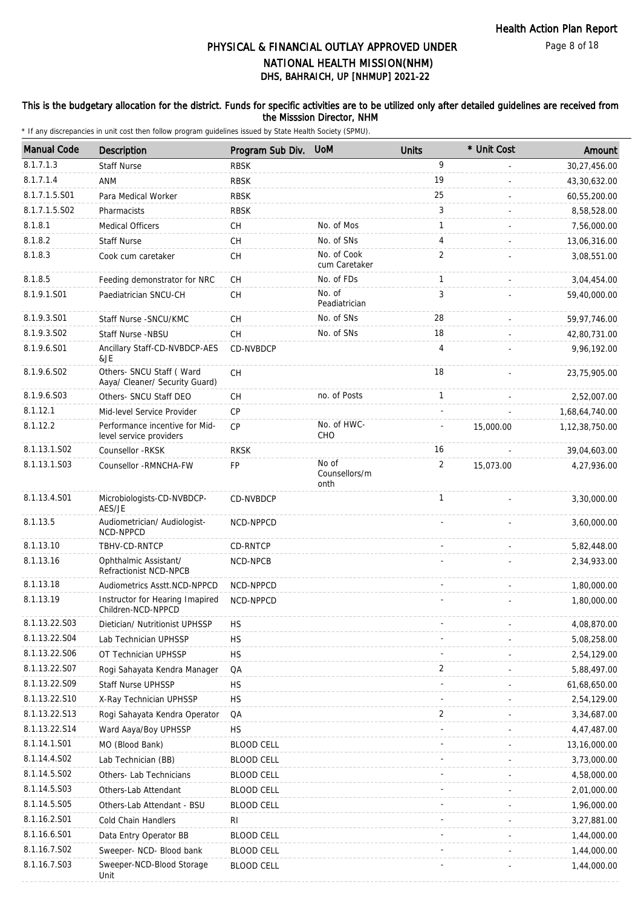Page 8 of 18

# DHS, BAHRAICH, UP [NHMUP] 2021-22 PHYSICAL & FINANCIAL OUTLAY APPROVED UNDER NATIONAL HEALTH MISSION(NHM)

### This is the budgetary allocation for the district. Funds for specific activities are to be utilized only after detailed guidelines are received from the Misssion Director, NHM

| <b>Manual Code</b> | <b>Description</b>                                         | Program Sub Div.  | <b>UoM</b>                     | <b>Units</b>   | * Unit Cost | Amount            |
|--------------------|------------------------------------------------------------|-------------------|--------------------------------|----------------|-------------|-------------------|
| 8.1.7.1.3          | <b>Staff Nurse</b>                                         | <b>RBSK</b>       |                                | 9              |             | 30,27,456.00      |
| 8.1.7.1.4          | ANM                                                        | <b>RBSK</b>       |                                | 19             |             | 43,30,632.00      |
| 8.1.7.1.5.S01      | Para Medical Worker                                        | <b>RBSK</b>       |                                | 25             |             | 60,55,200.00      |
| 8.1.7.1.5.S02      | Pharmacists                                                | <b>RBSK</b>       |                                | 3              |             | 8,58,528.00       |
| 8.1.8.1            | <b>Medical Officers</b>                                    | СH                | No. of Mos                     | $\mathbf{1}$   |             | 7,56,000.00       |
| 8.1.8.2            | <b>Staff Nurse</b>                                         | CH                | No. of SNs                     | 4              |             | 13,06,316.00      |
| 8.1.8.3            | Cook cum caretaker                                         | CH                | No. of Cook<br>cum Caretaker   | $\overline{2}$ |             | 3,08,551.00       |
| 8.1.8.5            | Feeding demonstrator for NRC                               | CH                | No. of FDs                     | $\mathbf{1}$   |             | 3,04,454.00       |
| 8.1.9.1.S01        | Paediatrician SNCU-CH                                      | CH                | No. of<br>Peadiatrician        | 3              |             | 59,40,000.00      |
| 8.1.9.3.S01        | Staff Nurse - SNCU/KMC                                     | CH                | No. of SNs                     | 28             |             | 59,97,746.00      |
| 8.1.9.3.SO2        | Staff Nurse -NBSU                                          | CH                | No. of SNs                     | 18             |             | 42,80,731.00      |
| 8.1.9.6.S01        | Ancillary Staff-CD-NVBDCP-AES<br>&JE                       | CD-NVBDCP         |                                | 4              |             | 9,96,192.00       |
| 8.1.9.6.SO2        | Others- SNCU Staff (Ward<br>Aaya/ Cleaner/ Security Guard) | CH                |                                | 18             |             | 23,75,905.00      |
| 8.1.9.6.S03        | Others- SNCU Staff DEO                                     | CH                | no. of Posts                   | $\mathbf{1}$   |             | 2,52,007.00       |
| 8.1.12.1           | Mid-level Service Provider                                 | CP                |                                |                |             | 1,68,64,740.00    |
| 8.1.12.2           | Performance incentive for Mid-<br>level service providers  | <b>CP</b>         | No. of HWC-<br><b>CHO</b>      |                | 15,000.00   | 1, 12, 38, 750.00 |
| 8.1.13.1.S02       | Counsellor -RKSK                                           | <b>RKSK</b>       |                                | 16             |             | 39,04,603.00      |
| 8.1.13.1.S03       | Counsellor -RMNCHA-FW                                      | FP                | No of<br>Counsellors/m<br>onth | 2              | 15,073.00   | 4,27,936.00       |
| 8.1.13.4.S01       | Microbiologists-CD-NVBDCP-<br>AES/JE                       | CD-NVBDCP         |                                | $\mathbf{1}$   |             | 3,30,000.00       |
| 8.1.13.5           | Audiometrician/ Audiologist-<br>NCD-NPPCD                  | NCD-NPPCD         |                                |                |             | 3,60,000.00       |
| 8.1.13.10          | TBHV-CD-RNTCP                                              | CD-RNTCP          |                                |                |             | 5,82,448.00       |
| 8.1.13.16          | Ophthalmic Assistant/<br>Refractionist NCD-NPCB            | NCD-NPCB          |                                |                |             | 2,34,933.00       |
| 8.1.13.18          | Audiometrics Asstt.NCD-NPPCD                               | NCD-NPPCD         |                                |                |             | 1,80,000.00       |
| 8.1.13.19          | Instructor for Hearing Imapired<br>Children-NCD-NPPCD      | NCD-NPPCD         |                                |                |             | 1,80,000.00       |
| 8.1.13.22.S03      | Dietician/ Nutritionist UPHSSP                             | <b>HS</b>         |                                |                |             | 4,08,870.00       |
| 8.1.13.22.S04      | Lab Technician UPHSSP                                      | <b>HS</b>         |                                |                |             | 5,08,258.00       |
| 8.1.13.22.S06      | OT Technician UPHSSP                                       | <b>HS</b>         |                                |                |             | 2,54,129.00       |
| 8.1.13.22.S07      | Rogi Sahayata Kendra Manager                               | QA                |                                | 2              |             | 5,88,497.00       |
| 8.1.13.22.S09      | Staff Nurse UPHSSP                                         | <b>HS</b>         |                                |                |             | 61,68,650.00      |
| 8.1.13.22.S10      | X-Ray Technician UPHSSP                                    | <b>HS</b>         |                                |                |             | 2,54,129.00       |
| 8.1.13.22.S13      | Rogi Sahayata Kendra Operator                              | QA                |                                | 2              |             | 3,34,687.00       |
| 8.1.13.22.S14      | Ward Aaya/Boy UPHSSP                                       | <b>HS</b>         |                                |                |             | 4,47,487.00       |
| 8.1.14.1.S01       | MO (Blood Bank)                                            | <b>BLOOD CELL</b> |                                |                |             | 13,16,000.00      |
| 8.1.14.4.S02       | Lab Technician (BB)                                        | <b>BLOOD CELL</b> |                                |                |             | 3,73,000.00       |
| 8.1.14.5.S02       | Others- Lab Technicians                                    | <b>BLOOD CELL</b> |                                |                |             | 4,58,000.00       |
| 8.1.14.5.S03       | Others-Lab Attendant                                       | <b>BLOOD CELL</b> |                                |                |             | 2,01,000.00       |
| 8.1.14.5.S05       | Others-Lab Attendant - BSU                                 | <b>BLOOD CELL</b> |                                |                |             | 1,96,000.00       |
| 8.1.16.2.S01       | Cold Chain Handlers                                        | RI                |                                |                |             | 3,27,881.00       |
| 8.1.16.6.S01       | Data Entry Operator BB                                     | <b>BLOOD CELL</b> |                                |                |             | 1,44,000.00       |
| 8.1.16.7.S02       | Sweeper- NCD- Blood bank                                   | <b>BLOOD CELL</b> |                                |                |             | 1,44,000.00       |
| 8.1.16.7.S03       | Sweeper-NCD-Blood Storage<br>Unit                          | <b>BLOOD CELL</b> |                                |                |             | 1,44,000.00       |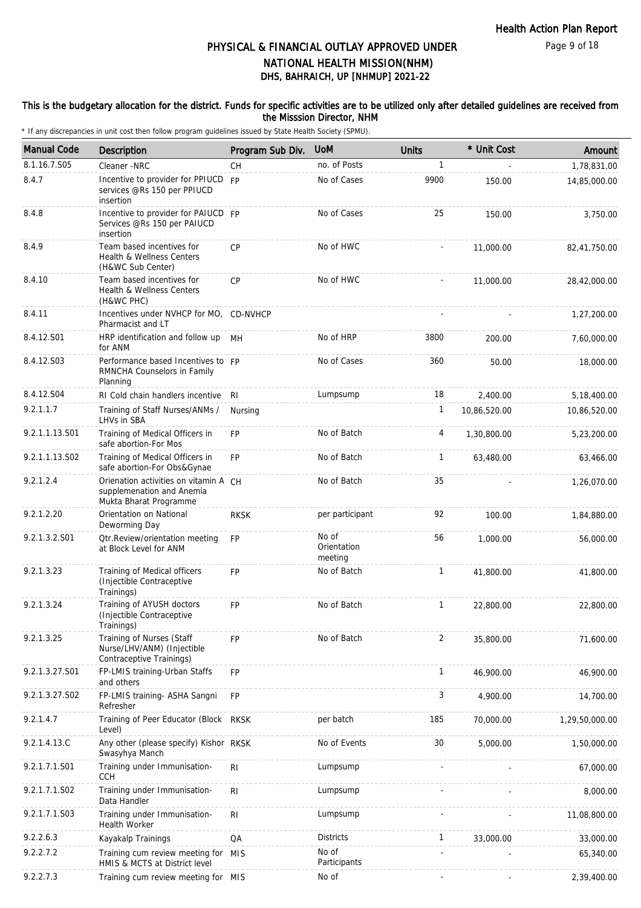Page 9 of 18

# DHS, BAHRAICH, UP [NHMUP] 2021-22 PHYSICAL & FINANCIAL OUTLAY APPROVED UNDER NATIONAL HEALTH MISSION(NHM)

### This is the budgetary allocation for the district. Funds for specific activities are to be utilized only after detailed guidelines are received from the Misssion Director, NHM

| <b>Manual Code</b> | <b>Description</b>                                                                           | Program Sub Div. | <b>UoM</b>                      | <b>Units</b> | * Unit Cost  | Amount         |
|--------------------|----------------------------------------------------------------------------------------------|------------------|---------------------------------|--------------|--------------|----------------|
| 8.1.16.7.S05       | Cleaner -NRC                                                                                 | <b>CH</b>        | no. of Posts                    | $\mathbf{1}$ |              | 1,78,831.00    |
| 8.4.7              | Incentive to provider for PPIUCD FP<br>services @Rs 150 per PPIUCD<br>insertion              |                  | No of Cases                     | 9900         | 150.00       | 14,85,000.00   |
| 8.4.8              | Incentive to provider for PAIUCD FP<br>Services @Rs 150 per PAIUCD<br>insertion              |                  | No of Cases                     | 25           | 150.00       | 3,750.00       |
| 8.4.9              | Team based incentives for<br>Health & Wellness Centers<br>(H&WC Sub Center)                  | CP               | No of HWC                       |              | 11,000.00    | 82,41,750.00   |
| 8.4.10             | Team based incentives for<br>Health & Wellness Centers<br>(H&WC PHC)                         | <b>CP</b>        | No of HWC                       |              | 11,000.00    | 28,42,000.00   |
| 8.4.11             | Incentives under NVHCP for MO, CD-NVHCP<br>Pharmacist and LT                                 |                  |                                 |              |              | 1,27,200.00    |
| 8.4.12.S01         | HRP identification and follow up MH<br>for ANM                                               |                  | No of HRP                       | 3800         | 200.00       | 7,60,000.00    |
| 8.4.12.S03         | Performance based Incentives to FP<br>RMNCHA Counselors in Family<br>Planning                |                  | No of Cases                     | 360          | 50.00        | 18,000.00      |
| 8.4.12.S04         | RI Cold chain handlers incentive                                                             | RI               | Lumpsump                        | 18           | 2,400.00     | 5,18,400.00    |
| 9.2.1.1.7          | Training of Staff Nurses/ANMs /<br>LHVs in SBA                                               | Nursing          |                                 | 1            | 10,86,520.00 | 10,86,520.00   |
| 9.2.1.1.13.S01     | Training of Medical Officers in<br>safe abortion-For Mos                                     | <b>FP</b>        | No of Batch                     | 4            | 1,30,800.00  | 5,23,200.00    |
| 9.2.1.1.13.S02     | Training of Medical Officers in<br>safe abortion-For Obs&Gynae                               | FP               | No of Batch                     | $\mathbf{1}$ | 63,480.00    | 63,466.00      |
| 9.2.1.2.4          | Orienation activities on vitamin A CH<br>supplemenation and Anemia<br>Mukta Bharat Programme |                  | No of Batch                     | 35           |              | 1,26,070.00    |
| 9.2.1.2.20         | Orientation on National<br>Deworming Day                                                     | <b>RKSK</b>      | per participant                 | 92           | 100.00       | 1,84,880.00    |
| 9.2.1.3.2.S01      | <b>Qtr.Review/orientation meeting</b><br>at Block Level for ANM                              | <b>FP</b>        | No of<br>Orientation<br>meeting | 56           | 1,000.00     | 56,000.00      |
| 9.2.1.3.23         | Training of Medical officers<br>(Injectible Contraceptive<br>Trainings)                      | <b>FP</b>        | No of Batch                     | 1            | 41,800.00    | 41,800.00      |
| 9.2.1.3.24         | Training of AYUSH doctors<br>(Injectible Contraceptive<br>Trainings)                         | <b>FP</b>        | No of Batch                     | $\mathbf{1}$ | 22,800.00    | 22,800.00      |
| 9.2.1.3.25         | Training of Nurses (Staff<br>Nurse/LHV/ANM) (Injectible<br>Contraceptive Trainings)          | <b>FP</b>        | No of Batch                     | 2            | 35,800.00    | 71,600.00      |
| 9.2.1.3.27.S01     | FP-LMIS training-Urban Staffs<br>and others                                                  | FP               |                                 | $\mathbf{1}$ | 46,900.00    | 46,900.00      |
| 9.2.1.3.27.S02     | FP-LMIS training- ASHA Sangni<br>Refresher                                                   | <b>FP</b>        |                                 | 3            | 4,900.00     | 14,700.00      |
| 9.2.1.4.7          | Training of Peer Educator (Block RKSK<br>Level)                                              |                  | per batch                       | 185          | 70,000.00    | 1,29,50,000.00 |
| 9.2.1.4.13.C       | Any other (please specify) Kishor RKSK<br>Swasyhya Manch                                     |                  | No of Events                    | 30           | 5,000.00     | 1,50,000.00    |
| 9.2.1.7.1.S01      | Training under Immunisation-<br><b>CCH</b>                                                   | R <sub>l</sub>   | Lumpsump                        |              |              | 67,000.00      |
| 9.2.1.7.1.S02      | Training under Immunisation-<br>Data Handler                                                 | R <sub>1</sub>   | Lumpsump                        |              |              | 8,000.00       |
| 9.2.1.7.1.S03      | Training under Immunisation-<br>Health Worker                                                | R <sub>l</sub>   | Lumpsump                        |              |              | 11,08,800.00   |
| 9.2.2.6.3          | Kayakalp Trainings                                                                           | QA               | <b>Districts</b>                | 1            | 33,000.00    | 33,000.00      |
| 9.2.2.7.2          | Training cum review meeting for<br>HMIS & MCTS at District level                             | MIS              | No of<br>Participants           |              |              | 65,340.00      |
| 9.2.2.7.3          | Training cum review meeting for MIS                                                          |                  | No of                           |              |              | 2,39,400.00    |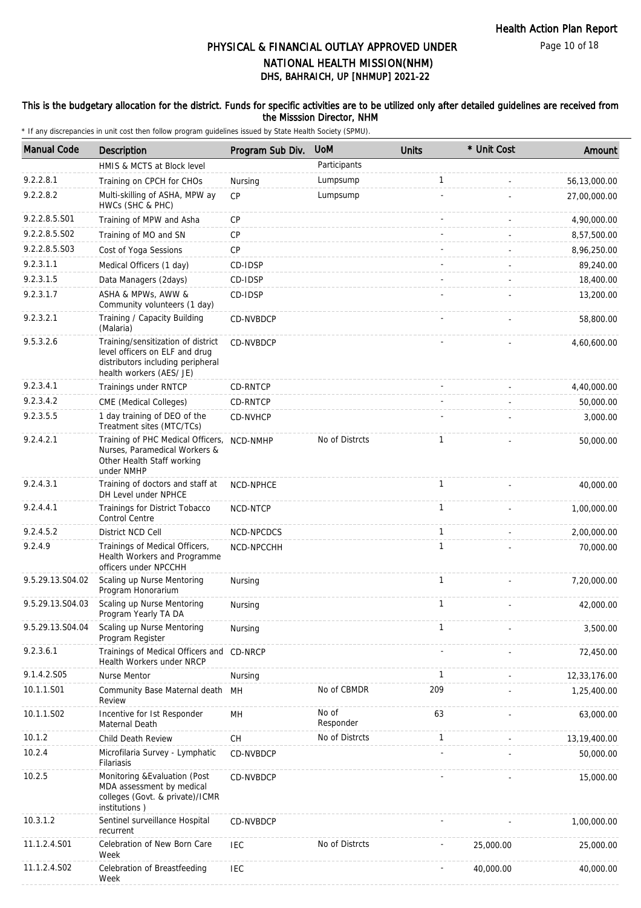Page 10 of 18

# DHS, BAHRAICH, UP [NHMUP] 2021-22 PHYSICAL & FINANCIAL OUTLAY APPROVED UNDER NATIONAL HEALTH MISSION(NHM)

### This is the budgetary allocation for the district. Funds for specific activities are to be utilized only after detailed guidelines are received from the Misssion Director, NHM

| <b>Manual Code</b> | <b>Description</b>                                                                                                                    | Program Sub Div. | <b>UoM</b>         | <b>Units</b> | * Unit Cost | Amount       |
|--------------------|---------------------------------------------------------------------------------------------------------------------------------------|------------------|--------------------|--------------|-------------|--------------|
|                    | HMIS & MCTS at Block level                                                                                                            |                  | Participants       |              |             |              |
| 9.2.2.8.1          | Training on CPCH for CHOs                                                                                                             | Nursing          | Lumpsump           | 1            |             | 56,13,000.00 |
| 9.2.2.8.2          | Multi-skilling of ASHA, MPW ay<br>HWCs (SHC & PHC)                                                                                    | <b>CP</b>        | Lumpsump           |              |             | 27,00,000.00 |
| 9.2.2.8.5.S01      | Training of MPW and Asha                                                                                                              | CP               |                    |              |             | 4,90,000.00  |
| 9.2.2.8.5.S02      | Training of MO and SN                                                                                                                 | <b>CP</b>        |                    |              |             | 8,57,500.00  |
| 9.2.2.8.5.S03      | Cost of Yoga Sessions                                                                                                                 | <b>CP</b>        |                    |              |             | 8,96,250.00  |
| 9.2.3.1.1          | Medical Officers (1 day)                                                                                                              | CD-IDSP          |                    |              |             | 89,240.00    |
| 9.2.3.1.5          | Data Managers (2days)                                                                                                                 | CD-IDSP          |                    |              |             | 18,400.00    |
| 9.2.3.1.7          | ASHA & MPWs, AWW &<br>Community volunteers (1 day)                                                                                    | CD-IDSP          |                    |              |             | 13,200.00    |
| 9.2.3.2.1          | Training / Capacity Building<br>(Malaria)                                                                                             | CD-NVBDCP        |                    |              |             | 58,800.00    |
| 9.5.3.2.6          | Training/sensitization of district<br>level officers on ELF and drug<br>distributors including peripheral<br>health workers (AES/ JE) | CD-NVBDCP        |                    |              |             | 4,60,600.00  |
| 9.2.3.4.1          | Trainings under RNTCP                                                                                                                 | CD-RNTCP         |                    |              |             | 4,40,000.00  |
| 9.2.3.4.2          | CME (Medical Colleges)                                                                                                                | CD-RNTCP         |                    |              |             | 50,000.00    |
| 9.2.3.5.5          | 1 day training of DEO of the<br>Treatment sites (MTC/TCs)                                                                             | CD-NVHCP         |                    |              |             | 3,000.00     |
| 9.2.4.2.1          | Training of PHC Medical Officers,<br>Nurses, Paramedical Workers &<br>Other Health Staff working<br>under NMHP                        | NCD-NMHP         | No of Distrcts     | 1            |             | 50,000.00    |
| 9.2.4.3.1          | Training of doctors and staff at<br>DH Level under NPHCE                                                                              | NCD-NPHCE        |                    | $\mathbf{1}$ |             | 40,000.00    |
| 9.2.4.4.1          | Trainings for District Tobacco<br><b>Control Centre</b>                                                                               | NCD-NTCP         |                    | $\mathbf{1}$ |             | 1,00,000.00  |
| 9.2.4.5.2          | District NCD Cell                                                                                                                     | NCD-NPCDCS       |                    | $\mathbf{1}$ |             | 2,00,000.00  |
| 9.2.4.9            | Trainings of Medical Officers,<br>Health Workers and Programme<br>officers under NPCCHH                                               | NCD-NPCCHH       |                    | $\mathbf{1}$ |             | 70,000.00    |
| 9.5.29.13.S04.02   | Scaling up Nurse Mentoring<br>Program Honorarium                                                                                      | Nursing          |                    | $\mathbf{1}$ |             | 7,20,000.00  |
| 9.5.29.13.S04.03   | Scaling up Nurse Mentoring<br>Program Yearly TA DA                                                                                    | Nursing          |                    | 1            |             | 42,000.00    |
| 9.5.29.13.S04.04   | Scaling up Nurse Mentoring<br>Program Register                                                                                        | Nursing          |                    | $\mathbf{1}$ |             | 3,500.00     |
| 9.2.3.6.1          | Trainings of Medical Officers and<br>Health Workers under NRCP                                                                        | CD-NRCP          |                    |              |             | 72,450.00    |
| 9.1.4.2.S05        | Nurse Mentor                                                                                                                          | Nursing          |                    | 1            |             | 12,33,176.00 |
| 10.1.1.S01         | Community Base Maternal death<br>Review                                                                                               | MН               | No of CBMDR        | 209          |             | 1,25,400.00  |
| 10.1.1.S02         | Incentive for 1st Responder<br>Maternal Death                                                                                         | MH               | No of<br>Responder | 63           |             | 63,000.00    |
| 10.1.2             | Child Death Review                                                                                                                    | СH               | No of Distrcts     | 1            |             | 13,19,400.00 |
| 10.2.4             | Microfilaria Survey - Lymphatic<br>Filariasis                                                                                         | CD-NVBDCP        |                    |              |             | 50,000.00    |
| 10.2.5             | Monitoring & Evaluation (Post<br>MDA assessment by medical<br>colleges (Govt. & private)/ICMR<br>institutions)                        | CD-NVBDCP        |                    |              |             | 15,000.00    |
| 10.3.1.2           | Sentinel surveillance Hospital<br>recurrent                                                                                           | CD-NVBDCP        |                    |              |             | 1,00,000.00  |
| 11.1.2.4.S01       | Celebration of New Born Care<br>Week                                                                                                  | <b>IEC</b>       | No of Distrcts     |              | 25,000.00   | 25,000.00    |
| 11.1.2.4.S02       | Celebration of Breastfeeding<br>Week                                                                                                  | <b>IEC</b>       |                    |              | 40,000.00   | 40,000.00    |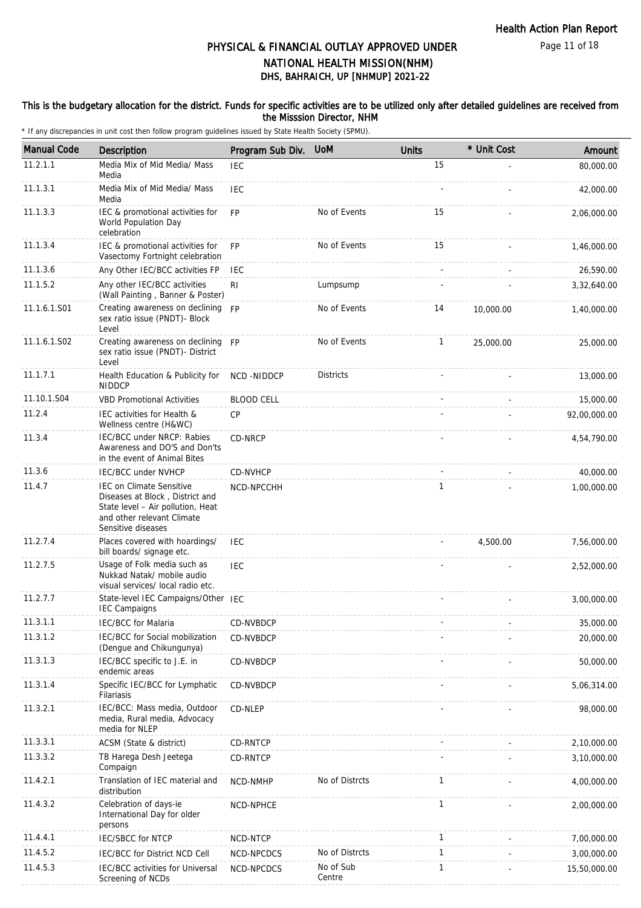Page 11 of 18

# DHS, BAHRAICH, UP [NHMUP] 2021-22 PHYSICAL & FINANCIAL OUTLAY APPROVED UNDER NATIONAL HEALTH MISSION(NHM)

### This is the budgetary allocation for the district. Funds for specific activities are to be utilized only after detailed guidelines are received from the Misssion Director, NHM

| <b>Manual Code</b> | <b>Description</b>                                                                                                                                          | Program Sub Div.  | <b>UoM</b>          | <b>Units</b> | * Unit Cost | Amount       |
|--------------------|-------------------------------------------------------------------------------------------------------------------------------------------------------------|-------------------|---------------------|--------------|-------------|--------------|
| 11.2.1.1           | Media Mix of Mid Media/ Mass<br>Media                                                                                                                       | <b>IEC</b>        |                     | 15           |             | 80,000.00    |
| 11.1.3.1           | Media Mix of Mid Media/ Mass<br>Media                                                                                                                       | <b>IEC</b>        |                     |              |             | 42,000.00    |
| 11.1.3.3           | IEC & promotional activities for<br>World Population Day<br>celebration                                                                                     | <b>FP</b>         | No of Events        | 15           |             | 2,06,000.00  |
| 11.1.3.4           | IEC & promotional activities for<br>Vasectomy Fortnight celebration                                                                                         | <b>FP</b>         | No of Events        | 15           |             | 1,46,000.00  |
| 11.1.3.6           | Any Other IEC/BCC activities FP                                                                                                                             | <b>IEC</b>        |                     | $\omega$     |             | 26,590.00    |
| 11.1.5.2           | Any other IEC/BCC activities<br>(Wall Painting, Banner & Poster)                                                                                            | <b>RI</b>         | Lumpsump            |              |             | 3,32,640.00  |
| 11.1.6.1.S01       | Creating awareness on declining FP<br>sex ratio issue (PNDT)- Block<br>Level                                                                                |                   | No of Events        | 14           | 10,000.00   | 1,40,000.00  |
| 11.1.6.1.S02       | Creating awareness on declining FP<br>sex ratio issue (PNDT)- District<br>Level                                                                             |                   | No of Events        | 1            | 25,000.00   | 25,000.00    |
| 11.1.7.1           | Health Education & Publicity for<br><b>NIDDCP</b>                                                                                                           | NCD-NIDDCP        | <b>Districts</b>    |              |             | 13,000.00    |
| 11.10.1.S04        | <b>VBD Promotional Activities</b>                                                                                                                           | <b>BLOOD CELL</b> |                     |              |             | 15,000.00    |
| 11.2.4             | IEC activities for Health &<br>Wellness centre (H&WC)                                                                                                       | CP                |                     |              |             | 92,00,000.00 |
| 11.3.4             | IEC/BCC under NRCP: Rabies<br>Awareness and DO'S and Don'ts<br>in the event of Animal Bites                                                                 | CD-NRCP           |                     |              |             | 4,54,790.00  |
| 11.3.6             | <b>IEC/BCC under NVHCP</b>                                                                                                                                  | CD-NVHCP          |                     |              |             | 40,000.00    |
| 11.4.7             | <b>IEC on Climate Sensitive</b><br>Diseases at Block, District and<br>State level - Air pollution, Heat<br>and other relevant Climate<br>Sensitive diseases | NCD-NPCCHH        |                     | 1            |             | 1,00,000.00  |
| 11.2.7.4           | Places covered with hoardings/<br>bill boards/ signage etc.                                                                                                 | <b>IEC</b>        |                     |              | 4,500.00    | 7,56,000.00  |
| 11.2.7.5           | Usage of Folk media such as<br>Nukkad Natak/ mobile audio<br>visual services/ local radio etc.                                                              | <b>IEC</b>        |                     |              |             | 2,52,000.00  |
| 11.2.7.7           | State-level IEC Campaigns/Other IEC<br><b>IEC Campaigns</b>                                                                                                 |                   |                     |              |             | 3,00,000.00  |
| 11.3.1.1           | IEC/BCC for Malaria                                                                                                                                         | CD-NVBDCP         |                     |              |             | 35,000.00    |
| 11.3.1.2           | IEC/BCC for Social mobilization<br>(Dengue and Chikungunya)                                                                                                 | CD-NVBDCP         |                     |              |             | 20,000.00    |
| 11.3.1.3           | IEC/BCC specific to J.E. in<br>endemic areas                                                                                                                | CD-NVBDCP         |                     |              |             | 50,000.00    |
| 11.3.1.4           | Specific IEC/BCC for Lymphatic<br>Filariasis                                                                                                                | CD-NVBDCP         |                     |              |             | 5,06,314.00  |
| 11.3.2.1           | IEC/BCC: Mass media, Outdoor<br>media, Rural media, Advocacy<br>media for NLEP                                                                              | CD-NLEP           |                     |              |             | 98,000.00    |
| 11.3.3.1           | ACSM (State & district)                                                                                                                                     | CD-RNTCP          |                     |              |             | 2,10,000.00  |
| 11.3.3.2           | TB Harega Desh Jeetega<br>Compaign                                                                                                                          | <b>CD-RNTCP</b>   |                     |              |             | 3,10,000.00  |
| 11.4.2.1           | Translation of IEC material and<br>distribution                                                                                                             | NCD-NMHP          | No of Distrcts      | 1            |             | 4,00,000.00  |
| 11.4.3.2           | Celebration of days-ie<br>International Day for older<br>persons                                                                                            | NCD-NPHCE         |                     | 1            |             | 2,00,000.00  |
| 11.4.4.1           | <b>IEC/SBCC for NTCP</b>                                                                                                                                    | NCD-NTCP          |                     | 1            |             | 7,00,000.00  |
| 11.4.5.2           | IEC/BCC for District NCD Cell                                                                                                                               | NCD-NPCDCS        | No of Distrcts      | 1            |             | 3,00,000.00  |
| 11.4.5.3           | IEC/BCC activities for Universal<br>Screening of NCDs                                                                                                       | NCD-NPCDCS        | No of Sub<br>Centre | $\mathbf{1}$ |             | 15,50,000.00 |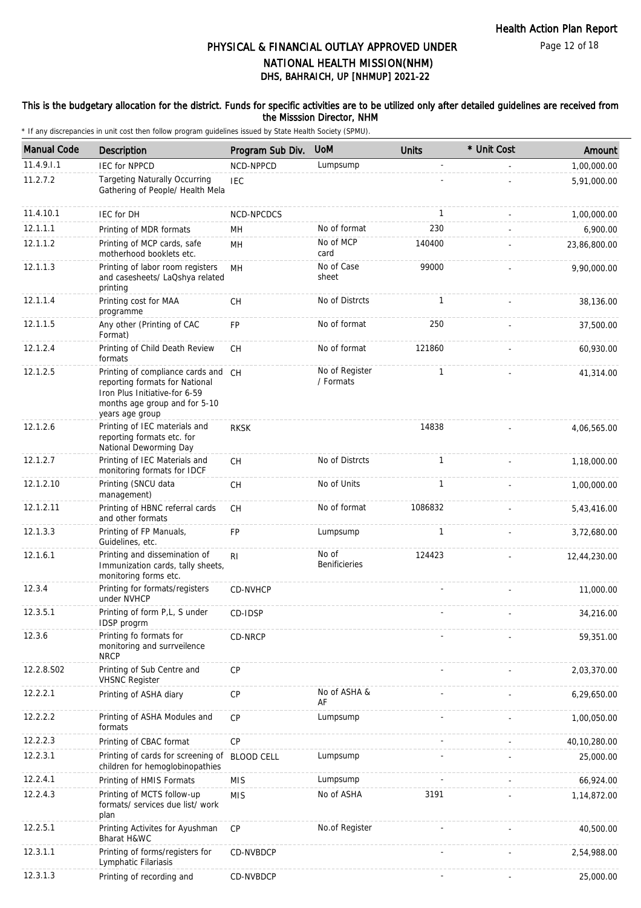Page 12 of 18

# DHS, BAHRAICH, UP [NHMUP] 2021-22 PHYSICAL & FINANCIAL OUTLAY APPROVED UNDER NATIONAL HEALTH MISSION(NHM)

### This is the budgetary allocation for the district. Funds for specific activities are to be utilized only after detailed guidelines are received from the Misssion Director, NHM

| <b>Manual Code</b> | Description                                                                                                                                                | Program Sub Div. | <b>UoM</b>                  | <b>Units</b> | * Unit Cost | Amount       |
|--------------------|------------------------------------------------------------------------------------------------------------------------------------------------------------|------------------|-----------------------------|--------------|-------------|--------------|
| 11.4.9.1.1         | <b>IEC for NPPCD</b>                                                                                                                                       | NCD-NPPCD        | Lumpsump                    |              |             | 1,00,000.00  |
| 11.2.7.2           | <b>Targeting Naturally Occurring</b><br>Gathering of People/ Health Mela                                                                                   | <b>IEC</b>       |                             |              |             | 5,91,000.00  |
| 11.4.10.1          | IEC for DH                                                                                                                                                 | NCD-NPCDCS       |                             | $\mathbf{1}$ |             | 1,00,000.00  |
| 12.1.1.1           | Printing of MDR formats                                                                                                                                    | MН               | No of format                | 230          |             | 6,900.00     |
| 12.1.1.2           | Printing of MCP cards, safe<br>motherhood booklets etc.                                                                                                    | MН               | No of MCP<br>card           | 140400       |             | 23,86,800.00 |
| 12.1.1.3           | Printing of labor room registers<br>and casesheets/ LaQshya related<br>printing                                                                            | <b>MH</b>        | No of Case<br>sheet         | 99000        |             | 9,90,000.00  |
| 12.1.1.4           | Printing cost for MAA<br>programme                                                                                                                         | <b>CH</b>        | No of Distrcts              | $\mathbf{1}$ |             | 38,136.00    |
| 12.1.1.5           | Any other (Printing of CAC<br>Format)                                                                                                                      | <b>FP</b>        | No of format                | 250          |             | 37,500.00    |
| 12.1.2.4           | Printing of Child Death Review<br>formats                                                                                                                  | <b>CH</b>        | No of format                | 121860       |             | 60,930.00    |
| 12.1.2.5           | Printing of compliance cards and CH<br>reporting formats for National<br>Iron Plus Initiative-for 6-59<br>months age group and for 5-10<br>years age group |                  | No of Register<br>/ Formats | $\mathbf{1}$ |             | 41,314.00    |
| 12.1.2.6           | Printing of IEC materials and<br>reporting formats etc. for<br>National Deworming Day                                                                      | <b>RKSK</b>      |                             | 14838        |             | 4,06,565.00  |
| 12.1.2.7           | Printing of IEC Materials and<br>monitoring formats for IDCF                                                                                               | <b>CH</b>        | No of Distrcts              | $\mathbf{1}$ |             | 1,18,000.00  |
| 12.1.2.10          | Printing (SNCU data<br>management)                                                                                                                         | <b>CH</b>        | No of Units                 | 1            |             | 1,00,000.00  |
| 12.1.2.11          | Printing of HBNC referral cards<br>and other formats                                                                                                       | <b>CH</b>        | No of format                | 1086832      |             | 5,43,416.00  |
| 12.1.3.3           | Printing of FP Manuals,<br>Guidelines, etc.                                                                                                                | <b>FP</b>        | Lumpsump                    | $\mathbf{1}$ |             | 3,72,680.00  |
| 12.1.6.1           | Printing and dissemination of<br>Immunization cards, tally sheets,<br>monitoring forms etc.                                                                | R <sub>l</sub>   | No of<br>Benificieries      | 124423       |             | 12,44,230.00 |
| 12.3.4             | Printing for formats/registers<br>under NVHCP                                                                                                              | CD-NVHCP         |                             |              |             | 11,000.00    |
| 12.3.5.1           | Printing of form P,L, S under<br>IDSP progrm                                                                                                               | CD-IDSP          |                             |              |             | 34,216.00    |
| 12.3.6             | Printing fo formats for<br>monitoring and surrveilence<br><b>NRCP</b>                                                                                      | CD-NRCP          |                             |              |             | 59,351.00    |
| 12.2.8.S02         | Printing of Sub Centre and<br><b>VHSNC Register</b>                                                                                                        | CP               |                             |              |             | 2,03,370.00  |
| 12.2.2.1           | Printing of ASHA diary                                                                                                                                     | CP               | No of ASHA &<br>AF          |              |             | 6,29,650.00  |
| 12.2.2.2           | Printing of ASHA Modules and<br>formats                                                                                                                    | <b>CP</b>        | Lumpsump                    |              |             | 1,00,050.00  |
| 12.2.2.3           | Printing of CBAC format                                                                                                                                    | CP               |                             |              |             | 40,10,280.00 |
| 12.2.3.1           | Printing of cards for screening of BLOOD CELL<br>children for hemoglobinopathies                                                                           |                  | Lumpsump                    |              |             | 25,000.00    |
| 12.2.4.1           | Printing of HMIS Formats                                                                                                                                   | <b>MIS</b>       | Lumpsump                    |              |             | 66,924.00    |
| 12.2.4.3           | Printing of MCTS follow-up<br>formats/ services due list/ work<br>plan                                                                                     | <b>MIS</b>       | No of ASHA                  | 3191         |             | 1,14,872.00  |
| 12.2.5.1           | Printing Activites for Ayushman<br>Bharat H&WC                                                                                                             | CP               | No.of Register              |              |             | 40,500.00    |
| 12.3.1.1           | Printing of forms/registers for<br>Lymphatic Filariasis                                                                                                    | CD-NVBDCP        |                             |              |             | 2,54,988.00  |
| 12.3.1.3           | Printing of recording and                                                                                                                                  | CD-NVBDCP        |                             |              |             | 25,000.00    |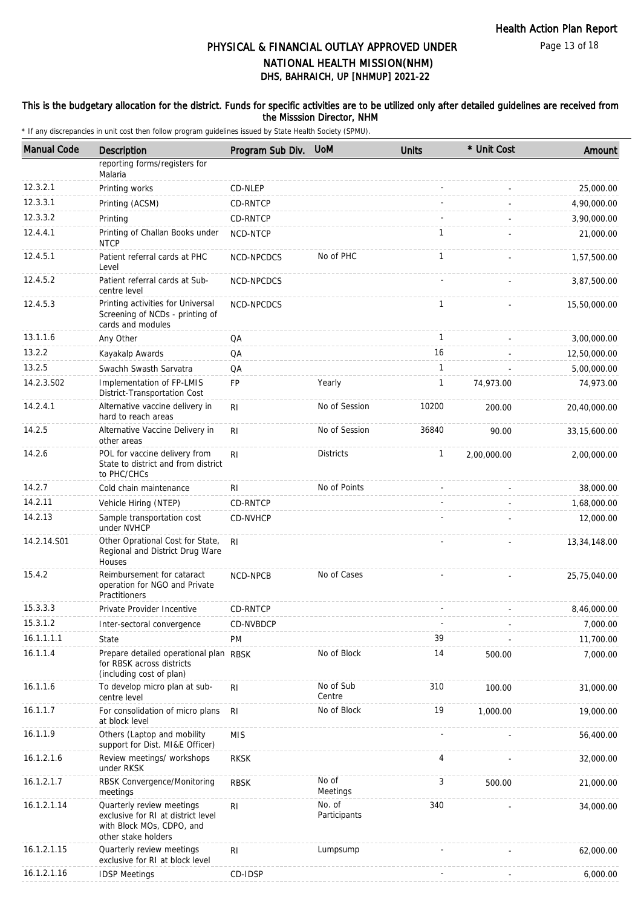Page 13 of 18

# DHS, BAHRAICH, UP [NHMUP] 2021-22 PHYSICAL & FINANCIAL OUTLAY APPROVED UNDER NATIONAL HEALTH MISSION(NHM)

### This is the budgetary allocation for the district. Funds for specific activities are to be utilized only after detailed guidelines are received from the Misssion Director, NHM

| <b>Manual Code</b> | Description                                                                                                         | Program Sub Div. | <b>UoM</b>             | <b>Units</b> | * Unit Cost | Amount         |
|--------------------|---------------------------------------------------------------------------------------------------------------------|------------------|------------------------|--------------|-------------|----------------|
|                    | reporting forms/registers for<br>Malaria                                                                            |                  |                        |              |             |                |
| 12.3.2.1           | Printing works                                                                                                      | CD-NLEP          |                        |              |             | 25,000.00      |
| 12.3.3.1           | Printing (ACSM)                                                                                                     | CD-RNTCP         |                        |              |             | 4,90,000.00    |
| 12.3.3.2           | Printing                                                                                                            | CD-RNTCP         |                        |              |             | 3,90,000.00    |
| 12.4.4.1           | Printing of Challan Books under<br><b>NTCP</b>                                                                      | NCD-NTCP         |                        | 1            |             | 21,000.00      |
| 12.4.5.1           | Patient referral cards at PHC<br>Level                                                                              | NCD-NPCDCS       | No of PHC              | $\mathbf{1}$ |             | 1,57,500.00    |
| 12.4.5.2           | Patient referral cards at Sub-<br>centre level                                                                      | NCD-NPCDCS       |                        |              |             | 3,87,500.00    |
| 12.4.5.3           | Printing activities for Universal<br>Screening of NCDs - printing of<br>cards and modules                           | NCD-NPCDCS       |                        | 1            |             | 15,50,000.00   |
| 13.1.1.6           | Any Other                                                                                                           | QA               |                        | $\mathbf{1}$ |             | 3,00,000.00    |
| 13.2.2             | Kayakalp Awards                                                                                                     | QA               |                        | 16           |             | 12,50,000.00   |
| 13.2.5             | Swachh Swasth Sarvatra                                                                                              | QA               |                        | 1            |             | 5,00,000.00    |
| 14.2.3.S02         | Implementation of FP-LMIS<br>District-Transportation Cost                                                           | FP               | Yearly                 | $\mathbf{1}$ | 74,973.00   | 74,973.00      |
| 14.2.4.1           | Alternative vaccine delivery in<br>hard to reach areas                                                              | RI               | No of Session          | 10200        | 200.00      | 20,40,000.00   |
| 14.2.5             | Alternative Vaccine Delivery in<br>other areas                                                                      | R <sub>1</sub>   | No of Session          | 36840        | 90.00       | 33, 15, 600.00 |
| 14.2.6             | POL for vaccine delivery from<br>State to district and from district<br>to PHC/CHCs                                 | R <sub>l</sub>   | <b>Districts</b>       | 1            | 2,00,000.00 | 2,00,000.00    |
| 14.2.7             | Cold chain maintenance                                                                                              | R <sub>l</sub>   | No of Points           |              |             | 38,000.00      |
| 14.2.11            | Vehicle Hiring (NTEP)                                                                                               | CD-RNTCP         |                        |              |             | 1,68,000.00    |
| 14.2.13            | Sample transportation cost<br>under NVHCP                                                                           | CD-NVHCP         |                        |              |             | 12,000.00      |
| 14.2.14.S01        | Other Oprational Cost for State,<br>Regional and District Drug Ware<br>Houses                                       | R <sub>l</sub>   |                        |              |             | 13,34,148.00   |
| 15.4.2             | Reimbursement for cataract<br>operation for NGO and Private<br>Practitioners                                        | NCD-NPCB         | No of Cases            |              |             | 25,75,040.00   |
| 15.3.3.3           | Private Provider Incentive                                                                                          | <b>CD-RNTCP</b>  |                        |              |             | 8,46,000.00    |
| 15.3.1.2           | Inter-sectoral convergence                                                                                          | CD-NVBDCP        |                        |              |             | 7,000.00       |
| 16.1.1.1.1         | State                                                                                                               | <b>PM</b>        |                        | 39           |             | 11,700.00      |
| 16.1.1.4           | Prepare detailed operational plan RBSK<br>for RBSK across districts<br>(including cost of plan)                     |                  | No of Block            | 14           | 500.00      | 7,000.00       |
| 16.1.1.6           | To develop micro plan at sub-<br>centre level                                                                       | R <sub>1</sub>   | No of Sub<br>Centre    | 310          | 100.00      | 31,000.00      |
| 16.1.1.7           | For consolidation of micro plans<br>at block level                                                                  | RI               | No of Block            | 19           | 1,000.00    | 19,000.00      |
| 16.1.1.9           | Others (Laptop and mobility<br>support for Dist. MI&E Officer)                                                      | <b>MIS</b>       |                        |              |             | 56,400.00      |
| 16.1.2.1.6         | Review meetings/ workshops<br>under RKSK                                                                            | <b>RKSK</b>      |                        | 4            |             | 32,000.00      |
| 16.1.2.1.7         | RBSK Convergence/Monitoring<br>meetings                                                                             | <b>RBSK</b>      | No of<br>Meetings      | 3            | 500.00      | 21,000.00      |
| 16.1.2.1.14        | Quarterly review meetings<br>exclusive for RI at district level<br>with Block MOs, CDPO, and<br>other stake holders | R <sub>l</sub>   | No. of<br>Participants | 340          |             | 34,000.00      |
| 16.1.2.1.15        | Quarterly review meetings<br>exclusive for RI at block level                                                        | R <sub>1</sub>   | Lumpsump               |              |             | 62,000.00      |
| 16.1.2.1.16        | <b>IDSP Meetings</b>                                                                                                | CD-IDSP          |                        |              |             | 6,000.00       |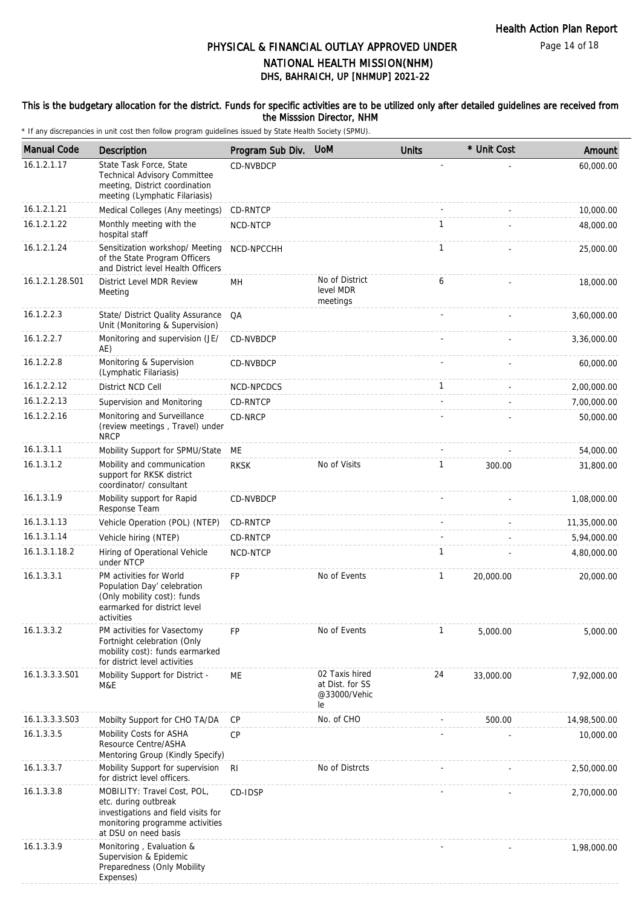Page 14 of 18

# DHS, BAHRAICH, UP [NHMUP] 2021-22 PHYSICAL & FINANCIAL OUTLAY APPROVED UNDER NATIONAL HEALTH MISSION(NHM)

### This is the budgetary allocation for the district. Funds for specific activities are to be utilized only after detailed guidelines are received from the Misssion Director, NHM

| <b>Manual Code</b> | Description                                                                                                                                           | Program Sub Div. | <b>UoM</b>                                              | <b>Units</b> | * Unit Cost | Amount       |
|--------------------|-------------------------------------------------------------------------------------------------------------------------------------------------------|------------------|---------------------------------------------------------|--------------|-------------|--------------|
| 16.1.2.1.17        | State Task Force, State<br>Technical Advisory Committee<br>meeting, District coordination<br>meeting (Lymphatic Filariasis)                           | CD-NVBDCP        |                                                         |              |             | 60,000.00    |
| 16.1.2.1.21        | Medical Colleges (Any meetings)                                                                                                                       | CD-RNTCP         |                                                         |              |             | 10,000.00    |
| 16.1.2.1.22        | Monthly meeting with the<br>hospital staff                                                                                                            | NCD-NTCP         |                                                         | $\mathbf{1}$ |             | 48,000.00    |
| 16.1.2.1.24        | Sensitization workshop/ Meeting<br>of the State Program Officers<br>and District level Health Officers                                                | NCD-NPCCHH       |                                                         | $\mathbf{1}$ |             | 25,000.00    |
| 16.1.2.1.28.S01    | District Level MDR Review<br>Meeting                                                                                                                  | MН               | No of District<br>level MDR<br>meetings                 | 6            |             | 18,000.00    |
| 16.1.2.2.3         | State/ District Quality Assurance<br>Unit (Monitoring & Supervision)                                                                                  | QA               |                                                         |              |             | 3,60,000.00  |
| 16.1.2.2.7         | Monitoring and supervision (JE/<br>AE)                                                                                                                | CD-NVBDCP        |                                                         |              |             | 3,36,000.00  |
| 16.1.2.2.8         | Monitoring & Supervision<br>(Lymphatic Filariasis)                                                                                                    | CD-NVBDCP        |                                                         |              |             | 60,000.00    |
| 16.1.2.2.12        | District NCD Cell                                                                                                                                     | NCD-NPCDCS       |                                                         | $\mathbf{1}$ |             | 2,00,000.00  |
| 16.1.2.2.13        | Supervision and Monitoring                                                                                                                            | CD-RNTCP         |                                                         |              |             | 7,00,000.00  |
| 16.1.2.2.16        | Monitoring and Surveillance<br>(review meetings, Travel) under<br><b>NRCP</b>                                                                         | CD-NRCP          |                                                         |              |             | 50,000.00    |
| 16.1.3.1.1         | Mobility Support for SPMU/State                                                                                                                       | МE               |                                                         |              |             | 54,000.00    |
| 16.1.3.1.2         | Mobility and communication<br>support for RKSK district<br>coordinator/consultant                                                                     | <b>RKSK</b>      | No of Visits                                            | 1            | 300.00      | 31,800.00    |
| 16.1.3.1.9         | Mobility support for Rapid<br>Response Team                                                                                                           | CD-NVBDCP        |                                                         |              |             | 1,08,000.00  |
| 16.1.3.1.13        | Vehicle Operation (POL) (NTEP)                                                                                                                        | CD-RNTCP         |                                                         |              |             | 11,35,000.00 |
| 16.1.3.1.14        | Vehicle hiring (NTEP)                                                                                                                                 | CD-RNTCP         |                                                         |              |             | 5,94,000.00  |
| 16.1.3.1.18.2      | Hiring of Operational Vehicle<br>under NTCP                                                                                                           | NCD-NTCP         |                                                         | 1            |             | 4,80,000.00  |
| 16.1.3.3.1         | PM activities for World<br>Population Day' celebration<br>(Only mobility cost): funds<br>earmarked for district level<br>activities                   | FP               | No of Events                                            | $\mathbf{1}$ | 20,000.00   | 20,000.00    |
| 16.1.3.3.2         | PM activities for Vasectomy<br>Fortnight celebration (Only<br>mobility cost): funds earmarked<br>for district level activities                        | <b>FP</b>        | No of Events                                            | $\mathbf{1}$ | 5,000.00    | 5,000.00     |
| 16.1.3.3.3.S01     | Mobility Support for District -<br>M&E                                                                                                                | ME               | 02 Taxis hired<br>at Dist. for SS<br>@33000/Vehic<br>le | 24           | 33,000.00   | 7,92,000.00  |
| 16.1.3.3.3.S03     | Mobilty Support for CHO TA/DA                                                                                                                         | CP               | No. of CHO                                              |              | 500.00      | 14,98,500.00 |
| 16.1.3.3.5         | Mobility Costs for ASHA<br>Resource Centre/ASHA<br>Mentoring Group (Kindly Specify)                                                                   | CP               |                                                         |              |             | 10,000.00    |
| 16.1.3.3.7         | Mobility Support for supervision<br>for district level officers.                                                                                      | -RI              | No of Distrcts                                          |              |             | 2,50,000.00  |
| 16.1.3.3.8         | MOBILITY: Travel Cost, POL,<br>etc. during outbreak<br>investigations and field visits for<br>monitoring programme activities<br>at DSU on need basis | CD-IDSP          |                                                         |              |             | 2,70,000.00  |
| 16.1.3.3.9         | Monitoring, Evaluation &<br>Supervision & Epidemic<br>Preparedness (Only Mobility<br>Expenses)                                                        |                  |                                                         |              |             | 1,98,000.00  |
|                    |                                                                                                                                                       |                  |                                                         |              |             |              |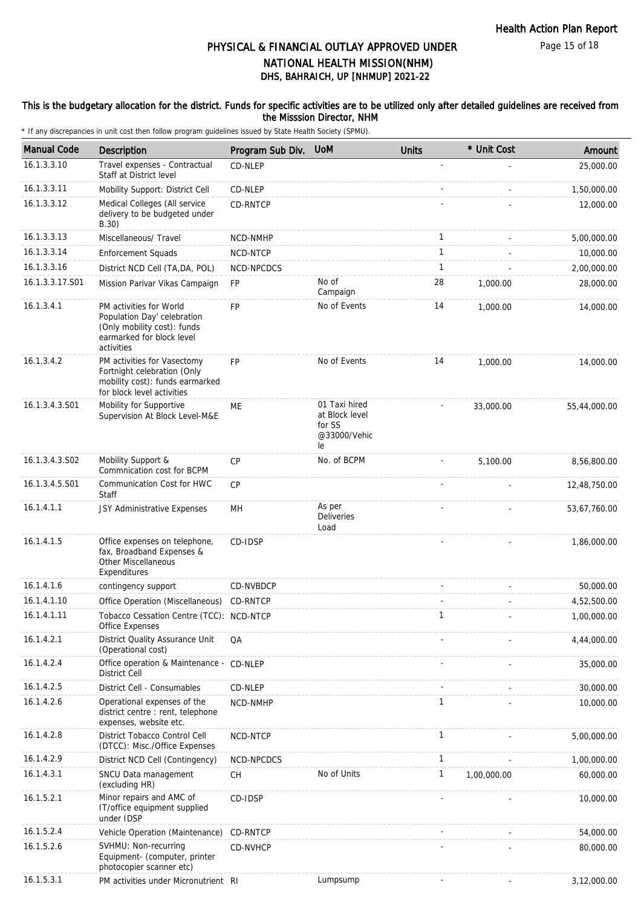Page 15 of 18

# DHS, BAHRAICH, UP [NHMUP] 2021-22 PHYSICAL & FINANCIAL OUTLAY APPROVED UNDER NATIONAL HEALTH MISSION(NHM)

### This is the budgetary allocation for the district. Funds for specific activities are to be utilized only after detailed guidelines are received from the Misssion Director, NHM

| <b>Manual Code</b> | Description                                                                                                                      | Program Sub Div.  | <b>UoM</b>                                                      | <b>Units</b> | * Unit Cost | Amount       |
|--------------------|----------------------------------------------------------------------------------------------------------------------------------|-------------------|-----------------------------------------------------------------|--------------|-------------|--------------|
| 16.1.3.3.10        | Travel expenses - Contractual<br>Staff at District level                                                                         | CD-NLEP           |                                                                 |              |             | 25,000.00    |
| 16.1.3.3.11        | Mobility Support: District Cell                                                                                                  | CD-NLEP           |                                                                 |              |             | 1,50,000.00  |
| 16.1.3.3.12        | Medical Colleges (All service<br>delivery to be budgeted under<br>B.30)                                                          | <b>CD-RNTCP</b>   |                                                                 |              |             | 12,000.00    |
| 16.1.3.3.13        | Miscellaneous/ Travel                                                                                                            | NCD-NMHP          |                                                                 | $\mathbf{1}$ |             | 5,00,000.00  |
| 16.1.3.3.14        | <b>Enforcement Squads</b>                                                                                                        | NCD-NTCP          |                                                                 | $\mathbf{1}$ |             | 10,000.00    |
| 16.1.3.3.16        | District NCD Cell (TA, DA, POL)                                                                                                  | <b>NCD-NPCDCS</b> |                                                                 | $\mathbf{1}$ |             | 2,00,000.00  |
| 16.1.3.3.17.S01    | Mission Parivar Vikas Campaign                                                                                                   | <b>FP</b>         | No of<br>Campaign                                               | 28           | 1,000.00    | 28,000.00    |
| 16.1.3.4.1         | PM activities for World<br>Population Day' celebration<br>(Only mobility cost): funds<br>earmarked for block level<br>activities | <b>FP</b>         | No of Events                                                    | 14           | 1,000.00    | 14,000.00    |
| 16.1.3.4.2         | PM activities for Vasectomy<br>Fortnight celebration (Only<br>mobility cost): funds earmarked<br>for block level activities      | <b>FP</b>         | No of Events                                                    | 14           | 1.000.00    | 14,000.00    |
| 16.1.3.4.3.S01     | Mobility for Supportive<br>Supervision At Block Level-M&E                                                                        | ME                | 01 Taxi hired<br>at Block level<br>for SS<br>@33000/Vehic<br>le |              | 33,000.00   | 55,44,000.00 |
| 16.1.3.4.3.S02     | Mobility Support &<br>Commnication cost for BCPM                                                                                 | <b>CP</b>         | No. of BCPM                                                     |              | 5,100.00    | 8,56,800.00  |
| 16.1.3.4.5.S01     | Communication Cost for HWC<br>Staff                                                                                              | CP                |                                                                 |              |             | 12,48,750.00 |
| 16.1.4.1.1         | JSY Administrative Expenses                                                                                                      | MH                | As per<br>Deliveries<br>Load                                    |              |             | 53,67,760.00 |
| 16.1.4.1.5         | Office expenses on telephone,<br>fax, Broadband Expenses &<br><b>Other Miscellaneous</b><br>Expenditures                         | CD-IDSP           |                                                                 |              |             | 1,86,000.00  |
| 16.1.4.1.6         | contingency support                                                                                                              | CD-NVBDCP         |                                                                 |              |             | 50,000.00    |
| 16.1.4.1.10        | Office Operation (Miscellaneous)                                                                                                 | CD-RNTCP          |                                                                 |              |             | 4,52,500.00  |
| 16.1.4.1.11        | Tobacco Cessation Centre (TCC): NCD-NTCP<br>Office Expenses                                                                      |                   |                                                                 | 1            |             | 1,00,000.00  |
| 16.1.4.2.1         | District Quality Assurance Unit<br>(Operational cost)                                                                            | QA                |                                                                 |              |             | 4,44,000.00  |
| 16.1.4.2.4         | Office operation & Maintenance - CD-NLEP<br>District Cell                                                                        |                   |                                                                 |              |             | 35,000.00    |
| 16.1.4.2.5         | District Cell - Consumables                                                                                                      | CD-NLEP           |                                                                 |              |             | 30,000.00    |
| 16.1.4.2.6         | Operational expenses of the<br>district centre : rent, telephone<br>expenses, website etc.                                       | NCD-NMHP          |                                                                 | 1            |             | 10,000.00    |
| 16.1.4.2.8         | District Tobacco Control Cell<br>(DTCC): Misc./Office Expenses                                                                   | NCD-NTCP          |                                                                 | $\mathbf{1}$ |             | 5,00,000.00  |
| 16.1.4.2.9         | District NCD Cell (Contingency)                                                                                                  | NCD-NPCDCS        |                                                                 | $\mathbf{1}$ |             | 1,00,000.00  |
| 16.1.4.3.1         | SNCU Data management<br>(excluding HR)                                                                                           | CH                | No of Units                                                     | $\mathbf{1}$ | 1,00,000.00 | 60,000.00    |
| 16.1.5.2.1         | Minor repairs and AMC of<br>IT/office equipment supplied<br>under IDSP                                                           | CD-IDSP           |                                                                 |              |             | 10,000.00    |
| 16.1.5.2.4         | Vehicle Operation (Maintenance)                                                                                                  | CD-RNTCP          |                                                                 |              |             | 54,000.00    |
| 16.1.5.2.6         | SVHMU: Non-recurring<br>Equipment- (computer, printer<br>photocopier scanner etc)                                                | CD-NVHCP          |                                                                 |              |             | 80,000.00    |
| 16.1.5.3.1         | PM activities under Micronutrient RI                                                                                             |                   | Lumpsump                                                        |              |             | 3,12,000.00  |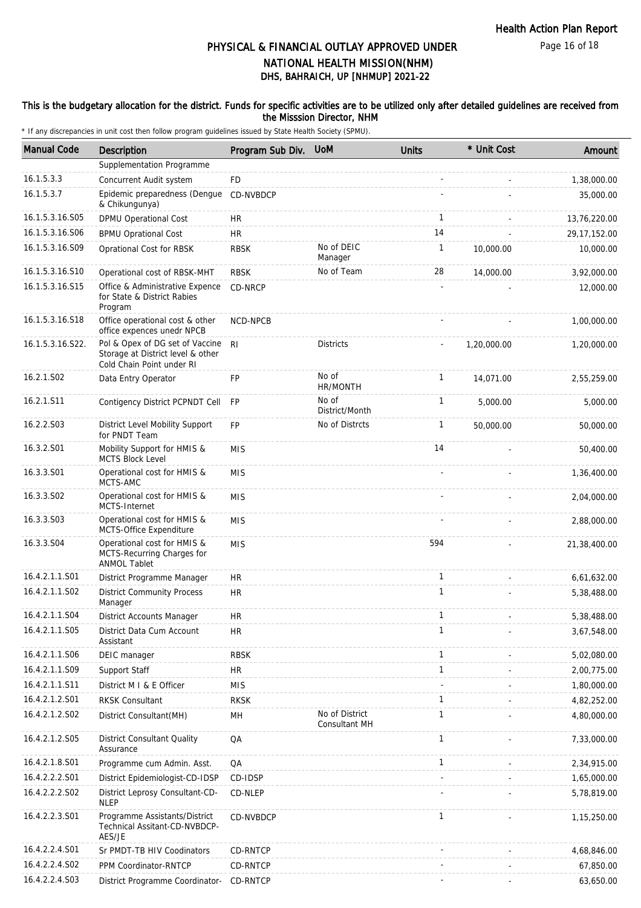Page 16 of 18

# DHS, BAHRAICH, UP [NHMUP] 2021-22 PHYSICAL & FINANCIAL OUTLAY APPROVED UNDER NATIONAL HEALTH MISSION(NHM)

### This is the budgetary allocation for the district. Funds for specific activities are to be utilized only after detailed guidelines are received from the Misssion Director, NHM

| <b>Manual Code</b> | Description                                                                                       | Program Sub Div. UoM |                                 | <b>Units</b> | * Unit Cost | Amount         |
|--------------------|---------------------------------------------------------------------------------------------------|----------------------|---------------------------------|--------------|-------------|----------------|
|                    | Supplementation Programme                                                                         |                      |                                 |              |             |                |
| 16.1.5.3.3         | Concurrent Audit system                                                                           | FD                   |                                 |              |             | 1,38,000.00    |
| 16.1.5.3.7         | Epidemic preparedness (Dengue<br>& Chikungunya)                                                   | CD-NVBDCP            |                                 |              |             | 35,000.00      |
| 16.1.5.3.16.S05    | DPMU Operational Cost                                                                             | HR                   |                                 | $\mathbf{1}$ |             | 13,76,220.00   |
| 16.1.5.3.16.S06    | <b>BPMU Oprational Cost</b>                                                                       | <b>HR</b>            |                                 | 14           |             | 29, 17, 152.00 |
| 16.1.5.3.16.S09    | Oprational Cost for RBSK                                                                          | <b>RBSK</b>          | No of DEIC<br>Manager           | $\mathbf{1}$ | 10,000.00   | 10,000.00      |
| 16.1.5.3.16.S10    | Operational cost of RBSK-MHT                                                                      | <b>RBSK</b>          | No of Team                      | 28           | 14,000.00   | 3,92,000.00    |
| 16.1.5.3.16.S15    | Office & Administrative Expence<br>for State & District Rabies<br>Program                         | CD-NRCP              |                                 |              |             | 12,000.00      |
| 16.1.5.3.16.S18    | Office operational cost & other<br>office expences unedr NPCB                                     | NCD-NPCB             |                                 |              |             | 1,00,000.00    |
| 16.1.5.3.16.S22.   | Pol & Opex of DG set of Vaccine<br>Storage at District level & other<br>Cold Chain Point under RI | R <sub>l</sub>       | <b>Districts</b>                |              | 1,20,000.00 | 1,20,000.00    |
| 16.2.1.S02         | Data Entry Operator                                                                               | FP                   | No of<br>HR/MONTH               | $\mathbf{1}$ | 14,071.00   | 2,55,259.00    |
| 16.2.1.S11         | Contigency District PCPNDT Cell                                                                   | <b>FP</b>            | No of<br>District/Month         | $\mathbf{1}$ | 5,000.00    | 5,000.00       |
| 16.2.2.S03         | District Level Mobility Support<br>for PNDT Team                                                  | <b>FP</b>            | No of Distrcts                  | $\mathbf{1}$ | 50,000.00   | 50,000.00      |
| 16.3.2.S01         | Mobility Support for HMIS &<br><b>MCTS Block Level</b>                                            | <b>MIS</b>           |                                 | 14           |             | 50,400.00      |
| 16.3.3.S01         | Operational cost for HMIS &<br>MCTS-AMC                                                           | <b>MIS</b>           |                                 |              |             | 1,36,400.00    |
| 16.3.3.S02         | Operational cost for HMIS &<br>MCTS-Internet                                                      | <b>MIS</b>           |                                 |              |             | 2,04,000.00    |
| 16.3.3.S03         | Operational cost for HMIS &<br>MCTS-Office Expenditure                                            | <b>MIS</b>           |                                 |              |             | 2,88,000.00    |
| 16.3.3.S04         | Operational cost for HMIS &<br>MCTS-Recurring Charges for<br><b>ANMOL Tablet</b>                  | <b>MIS</b>           |                                 | 594          |             | 21,38,400.00   |
| 16.4.2.1.1.S01     | District Programme Manager                                                                        | <b>HR</b>            |                                 | $\mathbf{1}$ |             | 6,61,632.00    |
| 16.4.2.1.1.S02     | <b>District Community Process</b><br>Manager                                                      | <b>HR</b>            |                                 | $\mathbf{1}$ |             | 5,38,488.00    |
| 16.4.2.1.1.S04     | District Accounts Manager                                                                         | <b>HR</b>            |                                 | 1            |             | 5,38,488.00    |
| 16.4.2.1.1.S05     | District Data Cum Account<br>Assistant                                                            | <b>HR</b>            |                                 | $\mathbf{1}$ |             | 3,67,548.00    |
| 16.4.2.1.1.S06     | DEIC manager                                                                                      | <b>RBSK</b>          |                                 | 1            |             | 5,02,080.00    |
| 16.4.2.1.1.S09     | Support Staff                                                                                     | <b>HR</b>            |                                 | $\mathbf{1}$ |             | 2,00,775.00    |
| 16.4.2.1.1.S11     | District M I & E Officer                                                                          | <b>MIS</b>           |                                 |              |             | 1,80,000.00    |
| 16.4.2.1.2.S01     | <b>RKSK Consultant</b>                                                                            | <b>RKSK</b>          |                                 | $\mathbf{1}$ |             | 4,82,252.00    |
| 16.4.2.1.2.S02     | District Consultant(MH)                                                                           | MH                   | No of District<br>Consultant MH | $\mathbf{1}$ |             | 4,80,000.00    |
| 16.4.2.1.2.S05     | District Consultant Quality<br>Assurance                                                          | QA                   |                                 | $\mathbf{1}$ |             | 7,33,000.00    |
| 16.4.2.1.8.S01     | Programme cum Admin. Asst.                                                                        | QA                   |                                 | $\mathbf{1}$ |             | 2,34,915.00    |
| 16.4.2.2.2.S01     | District Epidemiologist-CD-IDSP                                                                   | CD-IDSP              |                                 |              |             | 1,65,000.00    |
| 16.4.2.2.2.S02     | District Leprosy Consultant-CD-<br><b>NLEP</b>                                                    | CD-NLEP              |                                 |              |             | 5,78,819.00    |
| 16.4.2.2.3.S01     | Programme Assistants/District<br>Technical Assitant-CD-NVBDCP-<br>AES/JE                          | CD-NVBDCP            |                                 | $\mathbf{1}$ |             | 1,15,250.00    |
| 16.4.2.2.4.S01     | Sr PMDT-TB HIV Coodinators                                                                        | CD-RNTCP             |                                 |              |             | 4,68,846.00    |
| 16.4.2.2.4.502     | PPM Coordinator-RNTCP                                                                             | CD-RNTCP             |                                 |              |             | 67,850.00      |
| 16.4.2.2.4.S03     | District Programme Coordinator-                                                                   | CD-RNTCP             |                                 |              |             | 63,650.00      |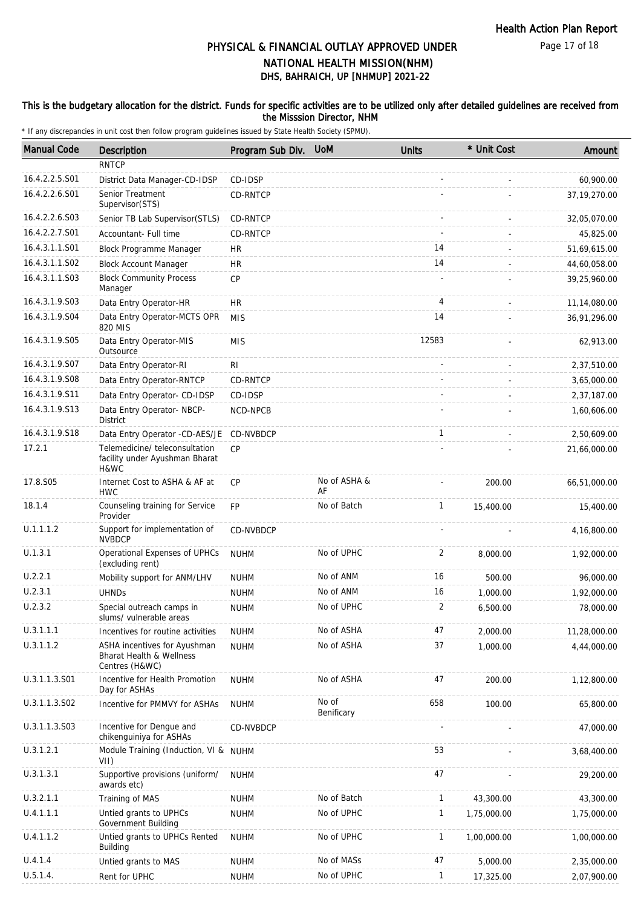Page 17 of 18

# DHS, BAHRAICH, UP [NHMUP] 2021-22 PHYSICAL & FINANCIAL OUTLAY APPROVED UNDER NATIONAL HEALTH MISSION(NHM)

### This is the budgetary allocation for the district. Funds for specific activities are to be utilized only after detailed guidelines are received from the Misssion Director, NHM

| <b>Manual Code</b> | Description                                                                | Program Sub Div. | <b>UoM</b>          | <b>Units</b> | * Unit Cost | Amount       |
|--------------------|----------------------------------------------------------------------------|------------------|---------------------|--------------|-------------|--------------|
|                    | <b>RNTCP</b>                                                               |                  |                     |              |             |              |
| 16.4.2.2.5.S01     | District Data Manager-CD-IDSP                                              | CD-IDSP          |                     |              |             | 60,900.00    |
| 16.4.2.2.6.S01     | Senior Treatment<br>Supervisor(STS)                                        | CD-RNTCP         |                     |              |             | 37,19,270.00 |
| 16.4.2.2.6.S03     | Senior TB Lab Supervisor(STLS)                                             | CD-RNTCP         |                     |              |             | 32,05,070.00 |
| 16.4.2.2.7.S01     | Accountant- Full time                                                      | CD-RNTCP         |                     |              |             | 45,825.00    |
| 16.4.3.1.1.S01     | Block Programme Manager                                                    | <b>HR</b>        |                     | 14           |             | 51,69,615.00 |
| 16.4.3.1.1.S02     | <b>Block Account Manager</b>                                               | HR.              |                     | 14           |             | 44,60,058.00 |
| 16.4.3.1.1.S03     | <b>Block Community Process</b><br>Manager                                  | CP               |                     |              |             | 39,25,960.00 |
| 16.4.3.1.9.503     | Data Entry Operator-HR                                                     | HR.              |                     | 4            |             | 11,14,080.00 |
| 16.4.3.1.9.S04     | Data Entry Operator-MCTS OPR<br>820 MIS                                    | <b>MIS</b>       |                     | 14           |             | 36,91,296.00 |
| 16.4.3.1.9.S05     | Data Entry Operator-MIS<br>Outsource                                       | <b>MIS</b>       |                     | 12583        |             | 62,913.00    |
| 16.4.3.1.9.S07     | Data Entry Operator-RI                                                     | RI               |                     |              |             | 2,37,510.00  |
| 16.4.3.1.9.S08     | Data Entry Operator-RNTCP                                                  | CD-RNTCP         |                     |              |             | 3,65,000.00  |
| 16.4.3.1.9.S11     | Data Entry Operator- CD-IDSP                                               | CD-IDSP          |                     |              |             | 2,37,187.00  |
| 16.4.3.1.9.S13     | Data Entry Operator- NBCP-<br><b>District</b>                              | NCD-NPCB         |                     |              |             | 1,60,606.00  |
| 16.4.3.1.9.S18     | Data Entry Operator -CD-AES/JE                                             | CD-NVBDCP        |                     | $\mathbf{1}$ |             | 2,50,609.00  |
| 17.2.1             | Telemedicine/ teleconsultation<br>facility under Ayushman Bharat<br>H&WC   | CP               |                     |              |             | 21,66,000.00 |
| 17.8.S05           | Internet Cost to ASHA & AF at<br><b>HWC</b>                                | <b>CP</b>        | No of ASHA &<br>AF  |              | 200.00      | 66,51,000.00 |
| 18.1.4             | Counseling training for Service<br>Provider                                | <b>FP</b>        | No of Batch         | $\mathbf{1}$ | 15,400.00   | 15,400.00    |
| U.1.1.1.2          | Support for implementation of<br><b>NVBDCP</b>                             | CD-NVBDCP        |                     |              |             | 4,16,800.00  |
| U.1.3.1            | Operational Expenses of UPHCs<br>(excluding rent)                          | <b>NUHM</b>      | No of UPHC          | 2            | 8,000.00    | 1,92,000.00  |
| U.2.2.1            | Mobility support for ANM/LHV                                               | <b>NUHM</b>      | No of ANM           | 16           | 500.00      | 96,000.00    |
| U.2.3.1            | <b>UHNDs</b>                                                               | <b>NUHM</b>      | No of ANM           | 16           | 1,000.00    | 1,92,000.00  |
| U.2.3.2            | Special outreach camps in<br>slums/ vulnerable areas                       | <b>NUHM</b>      | No of UPHC          | 2            | 6,500.00    | 78,000.00    |
| U.3.1.1.1          | Incentives for routine activities                                          | <b>NUHM</b>      | No of ASHA          | 47           | 2,000.00    | 11,28,000.00 |
| U.3.1.1.2          | ASHA incentives for Ayushman<br>Bharat Health & Wellness<br>Centres (H&WC) | <b>NUHM</b>      | No of ASHA          | 37           | 1,000.00    | 4,44,000.00  |
| U.3.1.1.3.S01      | Incentive for Health Promotion<br>Day for ASHAs                            | <b>NUHM</b>      | No of ASHA          | 47           | 200.00      | 1,12,800.00  |
| U.3.1.1.3.S02      | Incentive for PMMVY for ASHAs                                              | <b>NUHM</b>      | No of<br>Benificary | 658          | 100.00      | 65,800.00    |
| U.3.1.1.3.S03      | Incentive for Dengue and<br>chikenguiniya for ASHAs                        | CD-NVBDCP        |                     |              |             | 47,000.00    |
| U.3.1.2.1          | Module Training (Induction, VI & NUHM<br>VII)                              |                  |                     | 53           |             | 3,68,400.00  |
| U.3.1.3.1          | Supportive provisions (uniform/<br>awards etc)                             | <b>NUHM</b>      |                     | 47           |             | 29,200.00    |
| U.3.2.1.1          | Training of MAS                                                            | <b>NUHM</b>      | No of Batch         | $\mathbf{1}$ | 43,300.00   | 43,300.00    |
| U.4.1.1.1          | Untied grants to UPHCs<br>Government Building                              | <b>NUHM</b>      | No of UPHC          | $\mathbf{1}$ | 1,75,000.00 | 1,75,000.00  |
| U.4.1.1.2          | Untied grants to UPHCs Rented<br><b>Building</b>                           | <b>NUHM</b>      | No of UPHC          | $\mathbf{1}$ | 1,00,000.00 | 1,00,000.00  |
| U.4.1.4            | Untied grants to MAS                                                       | <b>NUHM</b>      | No of MASs          | 47           | 5,000.00    | 2,35,000.00  |
| U.5.1.4.           | Rent for UPHC                                                              | <b>NUHM</b>      | No of UPHC          | $\mathbf{1}$ | 17,325.00   | 2,07,900.00  |